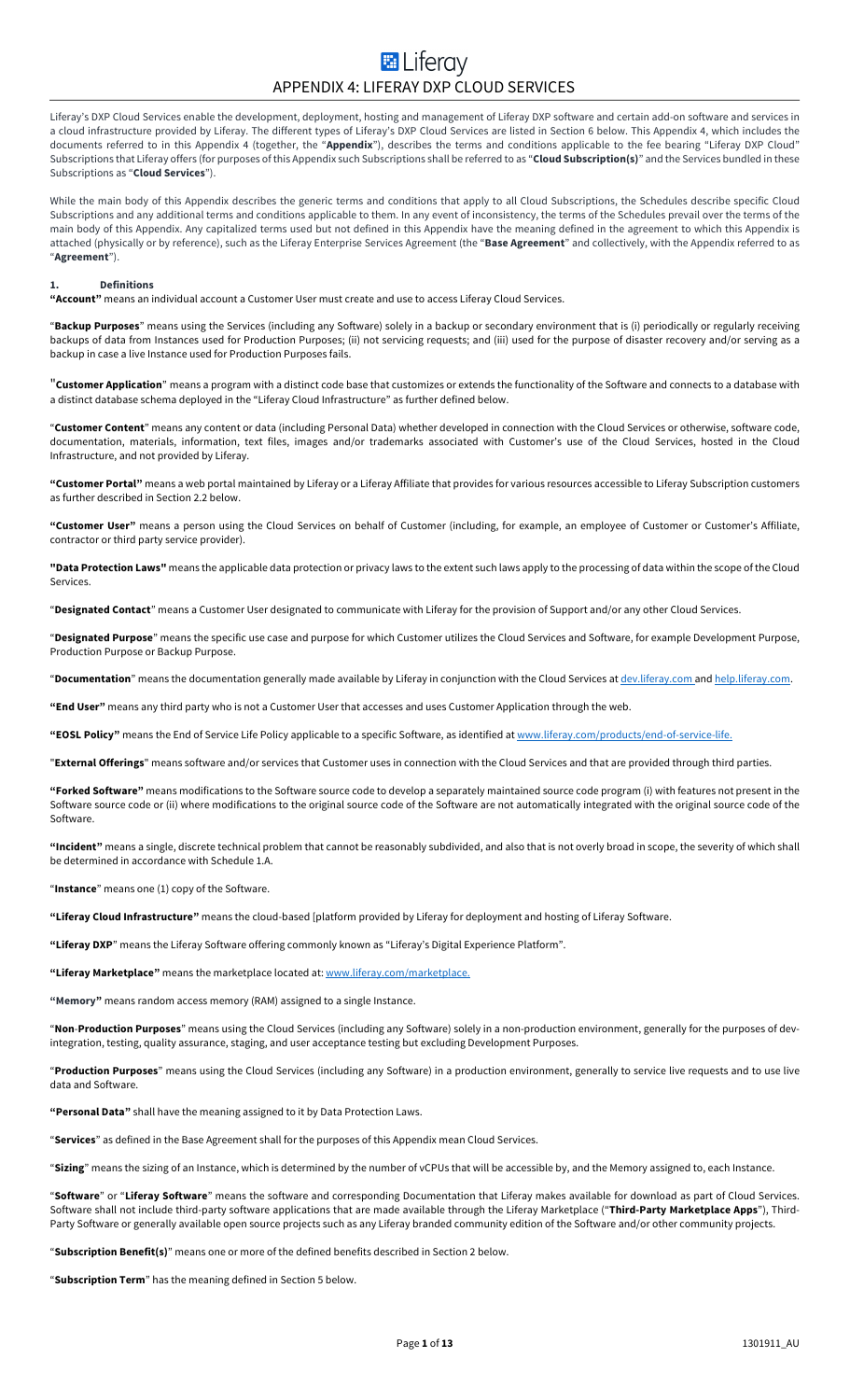# **E** Liferav APPENDIX 4: LIFERAY DXP CLOUD SERVICES

Liferay's DXP Cloud Services enable the development, deployment, hosting and management of Liferay DXP software and certain add-on software and services in a cloud infrastructure provided by Liferay. The different types of Liferay's DXP Cloud Services are listed in Section 6 below. This Appendix 4, which includes the documents referred to in this Appendix 4 (together, the "**Appendix**"), describes the terms and conditions applicable to the fee bearing "Liferay DXP Cloud" Subscriptions that Liferay offers (for purposes of this Appendix such Subscriptions shall be referred to as "**Cloud Subscription(s)**" and the Services bundled in these Subscriptions as "**Cloud Services**").

While the main body of this Appendix describes the generic terms and conditions that apply to all Cloud Subscriptions, the Schedules describe specific Cloud Subscriptions and any additional terms and conditions applicable to them. In any event of inconsistency, the terms of the Schedules prevail over the terms of the main body of this Appendix. Any capitalized terms used but not defined in this Appendix have the meaning defined in the agreement to which this Appendix is attached (physically or by reference), such as the Liferay Enterprise Services Agreement (the "**Base Agreement**" and collectively, with the Appendix referred to as "**Agreement**").

# **1. Definitions**

**"Account"** means an individual account a Customer User must create and use to access Liferay Cloud Services.

"**Backup Purposes**" means using the Services (including any Software) solely in a backup or secondary environment that is (i) periodically or regularly receiving backups of data from Instances used for Production Purposes; (ii) not servicing requests; and (iii) used for the purpose of disaster recovery and/or serving as a backup in case a live Instance used for Production Purposes fails.

"**Customer Application**" means a program with a distinct code base that customizes or extends the functionality of the Software and connects to a database with a distinct database schema deployed in the "Liferay Cloud Infrastructure" as further defined below.

"**Customer Content**" means any content or data (including Personal Data) whether developed in connection with the Cloud Services or otherwise, software code, documentation, materials, information, text files, images and/or trademarks associated with Customer's use of the Cloud Services, hosted in the Cloud Infrastructure, and not provided by Liferay.

**"Customer Portal"** means a web portal maintained by Liferay or a Liferay Affiliate that provides for various resources accessible to Liferay Subscription customers as further described in Section 2.2 below.

**"Customer User"** means a person using the Cloud Services on behalf of Customer (including, for example, an employee of Customer or Customer's Affiliate, contractor or third party service provider).

**"Data Protection Laws"** means the applicable data protection or privacy laws to the extent such laws apply to the processing of data within the scope of the Cloud Services.

"**Designated Contact**" means a Customer User designated to communicate with Liferay for the provision of Support and/or any other Cloud Services.

"**Designated Purpose**" means the specific use case and purpose for which Customer utilizes the Cloud Services and Software, for example Development Purpose, Production Purpose or Backup Purpose.

"**Documentation**" means the documentation generally made available by Liferay in conjunction with the Cloud Services at dev.liferay.com and help.liferay.com.

**"End User"** means any third party who is not a Customer User that accesses and uses Customer Application through the web.

**"EOSL Policy"** means the End of Service Life Policy applicable to a specific Software, as identified at www.liferay.com/products/end-of-service-life.

"**External Offerings**" means software and/or services that Customer uses in connection with the Cloud Services and that are provided through third parties.

**"Forked Software"** means modifications to the Software source code to develop a separately maintained source code program (i) with features not present in the Software source code or (ii) where modifications to the original source code of the Software are not automatically integrated with the original source code of the Software.

**"Incident"** means a single, discrete technical problem that cannot be reasonably subdivided, and also that is not overly broad in scope, the severity of which shall be determined in accordance with Schedule 1.A.

"**Instance**" means one (1) copy of the Software.

**"Liferay Cloud Infrastructure"** means the cloud-based [platform provided by Liferay for deployment and hosting of Liferay Software.

**"Liferay DXP**" means the Liferay Software offering commonly known as "Liferay's Digital Experience Platform".

**"Liferay Marketplace"** means the marketplace located at: www.liferay.com/marketplace.

**"Memory"** means random access memory (RAM) assigned to a single Instance.

"**Non**-**Production Purposes**" means using the Cloud Services (including any Software) solely in a non-production environment, generally for the purposes of devintegration, testing, quality assurance, staging, and user acceptance testing but excluding Development Purposes.

"**Production Purposes**" means using the Cloud Services (including any Software) in a production environment, generally to service live requests and to use live data and Software.

**"Personal Data"** shall have the meaning assigned to it by Data Protection Laws.

"**Services**" as defined in the Base Agreement shall for the purposes of this Appendix mean Cloud Services.

"**Sizing**" means the sizing of an Instance, which is determined by the number of vCPUs that will be accessible by, and the Memory assigned to, each Instance.

"**Software**" or "**Liferay Software**" means the software and corresponding Documentation that Liferay makes available for download as part of Cloud Services. Software shall not include third-party software applications that are made available through the Liferay Marketplace ("**Third-Party Marketplace Apps**"), Third-Party Software or generally available open source projects such as any Liferay branded community edition of the Software and/or other community projects.

"**Subscription Benefit(s)**" means one or more of the defined benefits described in Section 2 below.

"**Subscription Term**" has the meaning defined in Section 5 below.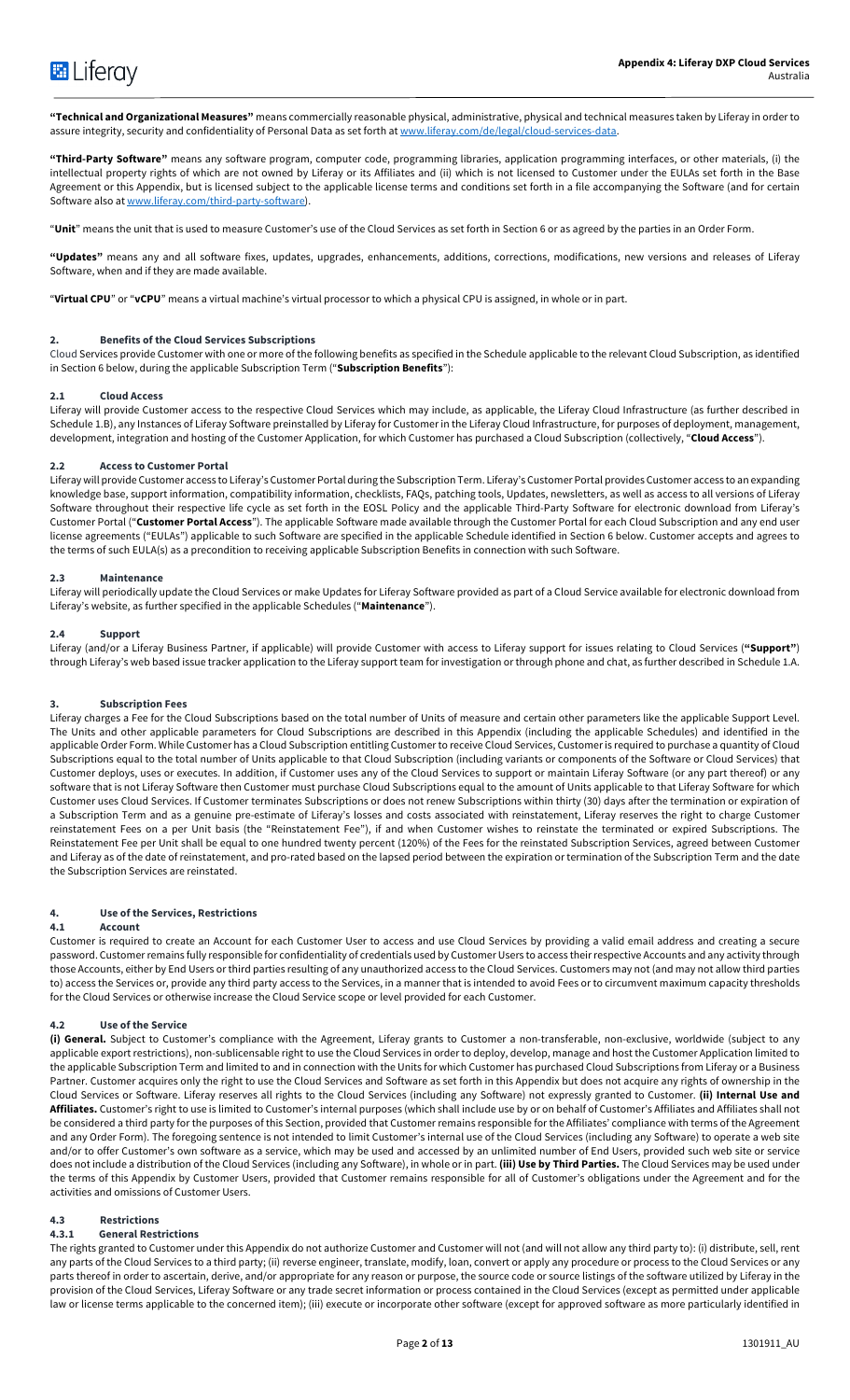

**"Technical and Organizational Measures"** means commercially reasonable physical, administrative, physical and technical measures taken by Liferay in order to assure integrity, security and confidentiality of Personal Data as set forth at www.liferay.com/de/legal/cloud-services-data.

**"Third-Party Software"** means any software program, computer code, programming libraries, application programming interfaces, or other materials, (i) the intellectual property rights of which are not owned by Liferay or its Affiliates and (ii) which is not licensed to Customer under the EULAs set forth in the Base Agreement or this Appendix, but is licensed subject to the applicable license terms and conditions set forth in a file accompanying the Software (and for certain Software also at www.liferay.com/third-party-software).

"**Unit**" means the unit that is used to measure Customer's use of the Cloud Services as set forth in Section 6 or as agreed by the parties in an Order Form.

**"Updates"** means any and all software fixes, updates, upgrades, enhancements, additions, corrections, modifications, new versions and releases of Liferay Software, when and if they are made available.

"**Virtual CPU**" or "**vCPU**" means a virtual machine's virtual processor to which a physical CPU is assigned, in whole or in part.

#### **2. Benefits of the Cloud Services Subscriptions**

Cloud Services provide Customer with one or more of the following benefits as specified in the Schedule applicable to the relevant Cloud Subscription, as identified in Section 6 below, during the applicable Subscription Term ("**Subscription Benefits**"):

#### **2.1 Cloud Access**

Liferay will provide Customer access to the respective Cloud Services which may include, as applicable, the Liferay Cloud Infrastructure (as further described in Schedule 1.B), any Instances of Liferay Software preinstalled by Liferay for Customer in the Liferay Cloud Infrastructure, for purposes of deployment, management, development, integration and hosting of the Customer Application, for which Customer has purchased a Cloud Subscription (collectively, "**Cloud Access**").

#### **2.2 Access to Customer Portal**

Liferay will provide Customer access to Liferay's Customer Portal during the Subscription Term. Liferay's Customer Portal provides Customer access to an expanding knowledge base, support information, compatibility information, checklists, FAQs, patching tools, Updates, newsletters, as well as access to all versions of Liferay Software throughout their respective life cycle as set forth in the EOSL Policy and the applicable Third-Party Software for electronic download from Liferay's Customer Portal ("**Customer Portal Access**"). The applicable Software made available through the Customer Portal for each Cloud Subscription and any end user license agreements ("EULAs") applicable to such Software are specified in the applicable Schedule identified in Section 6 below. Customer accepts and agrees to the terms of such EULA(s) as a precondition to receiving applicable Subscription Benefits in connection with such Software.

# **2.3 Maintenance**

Liferay will periodically update the Cloud Services or make Updates for Liferay Software provided as part of a Cloud Service available for electronic download from Liferay's website, as further specified in the applicable Schedules ("**Maintenance**").

#### **2.4 Support**

Liferay (and/or a Liferay Business Partner, if applicable) will provide Customer with access to Liferay support for issues relating to Cloud Services (**"Support"**) through Liferay's web based issue tracker application to the Liferay support team for investigation or through phone and chat, as further described in Schedule 1.A.

#### **3. Subscription Fees**

Liferay charges a Fee for the Cloud Subscriptions based on the total number of Units of measure and certain other parameters like the applicable Support Level. The Units and other applicable parameters for Cloud Subscriptions are described in this Appendix (including the applicable Schedules) and identified in the applicable Order Form. While Customer has a Cloud Subscription entitling Customer to receive Cloud Services, Customer is required to purchase a quantity of Cloud Subscriptions equal to the total number of Units applicable to that Cloud Subscription (including variants or components of the Software or Cloud Services) that Customer deploys, uses or executes. In addition, if Customer uses any of the Cloud Services to support or maintain Liferay Software (or any part thereof) or any software that is not Liferay Software then Customer must purchase Cloud Subscriptions equal to the amount of Units applicable to that Liferay Software for which Customer uses Cloud Services. If Customer terminates Subscriptions or does not renew Subscriptions within thirty (30) days after the termination or expiration of a Subscription Term and as a genuine pre-estimate of Liferay's losses and costs associated with reinstatement, Liferay reserves the right to charge Customer reinstatement Fees on a per Unit basis (the "Reinstatement Fee"), if and when Customer wishes to reinstate the terminated or expired Subscriptions. The Reinstatement Fee per Unit shall be equal to one hundred twenty percent (120%) of the Fees for the reinstated Subscription Services, agreed between Customer and Liferay as of the date of reinstatement, and pro-rated based on the lapsed period between the expiration or termination of the Subscription Term and the date the Subscription Services are reinstated.

# **4. Use of the Services, Restrictions**

#### **4.1 Account**

Customer is required to create an Account for each Customer User to access and use Cloud Services by providing a valid email address and creating a secure password. Customer remains fully responsible for confidentiality of credentials used by Customer Users to access theirrespective Accounts and any activity through those Accounts, either by End Users or third parties resulting of any unauthorized access to the Cloud Services. Customers may not (and may not allow third parties to) access the Services or, provide any third party access to the Services, in a manner that is intended to avoid Fees or to circumvent maximum capacity thresholds for the Cloud Services or otherwise increase the Cloud Service scope or level provided for each Customer.

# **4.2 Use of the Service**

**(i) General.** Subject to Customer's compliance with the Agreement, Liferay grants to Customer a non-transferable, non-exclusive, worldwide (subject to any applicable export restrictions), non-sublicensable right to use the Cloud Services in order to deploy, develop, manage and host the Customer Application limited to the applicable Subscription Term and limited to and in connection with the Units for which Customer has purchased Cloud Subscriptions from Liferay or a Business Partner. Customer acquires only the right to use the Cloud Services and Software as set forth in this Appendix but does not acquire any rights of ownership in the Cloud Services or Software. Liferay reserves all rights to the Cloud Services (including any Software) not expressly granted to Customer. **(ii) Internal Use and Affiliates.** Customer's right to use is limited to Customer's internal purposes (which shall include use by or on behalf of Customer's Affiliates and Affiliates shall not be considered a third party for the purposes of this Section, provided that Customer remains responsible for the Affiliates' compliance with terms of the Agreement and any Order Form). The foregoing sentence is not intended to limit Customer's internal use of the Cloud Services (including any Software) to operate a web site and/or to offer Customer's own software as a service, which may be used and accessed by an unlimited number of End Users, provided such web site or service does not include a distribution of the Cloud Services (including any Software), in whole or in part. **(iii) Use by Third Parties.** The Cloud Services may be used under the terms of this Appendix by Customer Users, provided that Customer remains responsible for all of Customer's obligations under the Agreement and for the activities and omissions of Customer Users.

#### **4.3 Restrictions**

### **4.3.1 General Restrictions**

The rights granted to Customer under this Appendix do not authorize Customer and Customer will not (and will not allow any third party to): (i) distribute, sell, rent any parts of the Cloud Services to a third party; (ii) reverse engineer, translate, modify, loan, convert or apply any procedure or process to the Cloud Services or any parts thereof in order to ascertain, derive, and/or appropriate for any reason or purpose, the source code or source listings of the software utilized by Liferay in the provision of the Cloud Services, Liferay Software or any trade secret information or process contained in the Cloud Services (except as permitted under applicable law or license terms applicable to the concerned item); (iii) execute or incorporate other software (except for approved software as more particularly identified in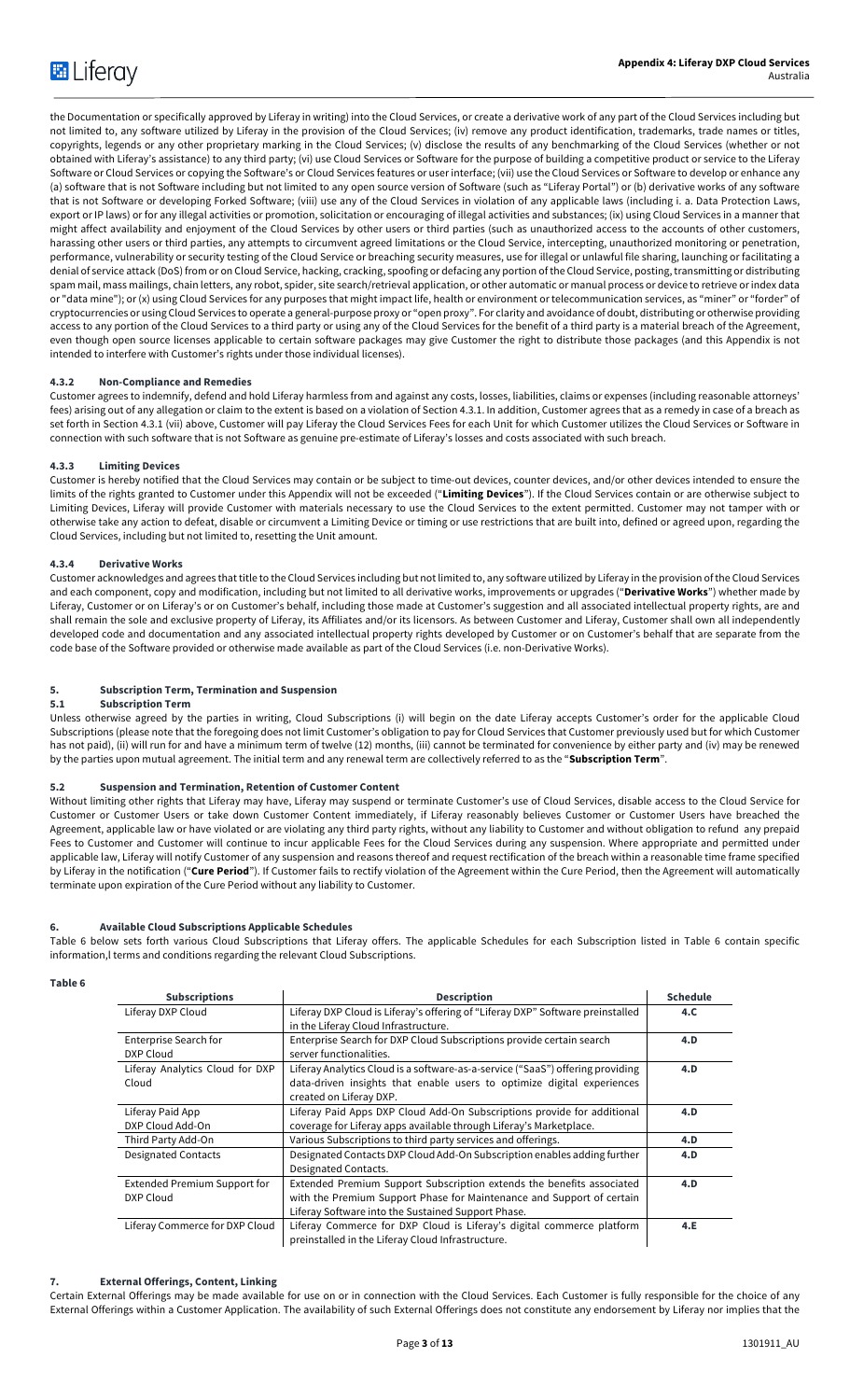the Documentation or specifically approved by Liferay in writing) into the Cloud Services, or create a derivative work of any part of the Cloud Services including but not limited to, any software utilized by Liferay in the provision of the Cloud Services; (iv) remove any product identification, trademarks, trade names or titles, copyrights, legends or any other proprietary marking in the Cloud Services; (v) disclose the results of any benchmarking of the Cloud Services (whether or not obtained with Liferay's assistance) to any third party; (vi) use Cloud Services or Software for the purpose of building a competitive product or service to the Liferay Software or Cloud Services or copying the Software's or Cloud Services features or user interface; (vii) use the Cloud Services or Software to develop or enhance any (a) software that is not Software including but not limited to any open source version of Software (such as "Liferay Portal") or (b) derivative works of any software that is not Software or developing Forked Software; (viii) use any of the Cloud Services in violation of any applicable laws (including i. a. Data Protection Laws, export or IP laws) or for any illegal activities or promotion, solicitation or encouraging of illegal activities and substances; (ix) using Cloud Services in a manner that might affect availability and enjoyment of the Cloud Services by other users or third parties (such as unauthorized access to the accounts of other customers, harassing other users or third parties, any attempts to circumvent agreed limitations or the Cloud Service, intercepting, unauthorized monitoring or penetration, performance, vulnerability or security testing of the Cloud Service or breaching security measures, use for illegal or unlawful file sharing, launching or facilitating a denial of service attack (DoS) from or on Cloud Service, hacking, cracking, spoofing or defacing any portion of the Cloud Service, posting, transmitting or distributing spam mail, mass mailings, chain letters, any robot, spider, site search/retrieval application, or other automatic or manual process or device to retrieve or index data or "data mine"); or (x) using Cloud Services for any purposes that might impact life, health or environment or telecommunication services, as "miner" or "forder" of cryptocurrencies or using Cloud Services to operate a general-purpose proxy or "open proxy". For clarity and avoidance of doubt, distributing or otherwise providing access to any portion of the Cloud Services to a third party or using any of the Cloud Services for the benefit of a third party is a material breach of the Agreement, even though open source licenses applicable to certain software packages may give Customer the right to distribute those packages (and this Appendix is not intended to interfere with Customer's rights under those individual licenses).

# **4.3.2 Non-Compliance and Remedies**

Customer agrees to indemnify, defend and hold Liferay harmless from and against any costs, losses, liabilities, claims or expenses (including reasonable attorneys' fees) arising out of any allegation or claim to the extent is based on a violation of Section 4.3.1. In addition, Customer agrees that as a remedy in case of a breach as set forth in Section 4.3.1 (vii) above, Customer will pay Liferay the Cloud Services Fees for each Unit for which Customer utilizes the Cloud Services or Software in connection with such software that is not Software as genuine pre-estimate of Liferay's losses and costs associated with such breach.

# **4.3.3 Limiting Devices**

Customer is hereby notified that the Cloud Services may contain or be subject to time-out devices, counter devices, and/or other devices intended to ensure the limits of the rights granted to Customer under this Appendix will not be exceeded ("**Limiting Devices**"). If the Cloud Services contain or are otherwise subject to Limiting Devices, Liferay will provide Customer with materials necessary to use the Cloud Services to the extent permitted. Customer may not tamper with or otherwise take any action to defeat, disable or circumvent a Limiting Device or timing or use restrictions that are built into, defined or agreed upon, regarding the Cloud Services, including but not limited to, resetting the Unit amount.

# **4.3.4 Derivative Works**

Customer acknowledges and agrees that title to the Cloud Services including but not limited to, any software utilized by Liferay in the provision of the Cloud Services and each component, copy and modification, including but not limited to all derivative works, improvements or upgrades ("**Derivative Works**") whether made by Liferay, Customer or on Liferay's or on Customer's behalf, including those made at Customer's suggestion and all associated intellectual property rights, are and shall remain the sole and exclusive property of Liferay, its Affiliates and/or its licensors. As between Customer and Liferay, Customer shall own all independently developed code and documentation and any associated intellectual property rights developed by Customer or on Customer's behalf that are separate from the code base of the Software provided or otherwise made available as part of the Cloud Services (i.e. non-Derivative Works).

# **5. Subscription Term, Termination and Suspension**

# **5.1 Subscription Term**

Unless otherwise agreed by the parties in writing, Cloud Subscriptions (i) will begin on the date Liferay accepts Customer's order for the applicable Cloud Subscriptions (please note that the foregoing does not limit Customer's obligation to pay for Cloud Services that Customer previously used but for which Customer has not paid), (ii) will run for and have a minimum term of twelve (12) months, (iii) cannot be terminated for convenience by either party and (iv) may be renewed by the parties upon mutual agreement. The initial term and any renewal term are collectively referred to as the "**Subscription Term**".

# **5.2 Suspension and Termination, Retention of Customer Content**

Without limiting other rights that Liferay may have, Liferay may suspend or terminate Customer's use of Cloud Services, disable access to the Cloud Service for Customer or Customer Users or take down Customer Content immediately, if Liferay reasonably believes Customer or Customer Users have breached the Agreement, applicable law or have violated or are violating any third party rights, without any liability to Customer and without obligation to refund any prepaid Fees to Customer and Customer will continue to incur applicable Fees for the Cloud Services during any suspension. Where appropriate and permitted under applicable law, Liferay will notify Customer of any suspension and reasons thereof and request rectification of the breach within a reasonable time frame specified by Liferay in the notification ("**Cure Period**"). If Customer fails to rectify violation of the Agreement within the Cure Period, then the Agreement will automatically terminate upon expiration of the Cure Period without any liability to Customer.

# **6. Available Cloud Subscriptions Applicable Schedules**

Table 6 below sets forth various Cloud Subscriptions that Liferay offers. The applicable Schedules for each Subscription listed in Table 6 contain specific information,l terms and conditions regarding the relevant Cloud Subscriptions.

# **Table 6**

| <b>Subscriptions</b>            | <b>Description</b>                                                             | <b>Schedule</b> |
|---------------------------------|--------------------------------------------------------------------------------|-----------------|
| Liferay DXP Cloud               | Liferay DXP Cloud is Liferay's offering of "Liferay DXP" Software preinstalled | 4.C.            |
|                                 | in the Liferay Cloud Infrastructure.                                           |                 |
| Enterprise Search for           | Enterprise Search for DXP Cloud Subscriptions provide certain search           | 4.D             |
| DXP Cloud                       | server functionalities.                                                        |                 |
| Liferay Analytics Cloud for DXP | Liferay Analytics Cloud is a software-as-a-service ("SaaS") offering providing |                 |
| Cloud                           | data-driven insights that enable users to optimize digital experiences         |                 |
|                                 | created on Liferay DXP.                                                        |                 |
| Liferay Paid App                | Liferay Paid Apps DXP Cloud Add-On Subscriptions provide for additional        | 4.D             |
| DXP Cloud Add-On                | coverage for Liferay apps available through Liferay's Marketplace.             |                 |
| Third Party Add-On              | Various Subscriptions to third party services and offerings.                   | 4.D             |
| <b>Designated Contacts</b>      | Designated Contacts DXP Cloud Add-On Subscription enables adding further       | 4.D             |
|                                 | Designated Contacts.                                                           |                 |
| Extended Premium Support for    | Extended Premium Support Subscription extends the benefits associated          | 4.D             |
| DXP Cloud                       | with the Premium Support Phase for Maintenance and Support of certain          |                 |
|                                 | Liferay Software into the Sustained Support Phase.                             |                 |
| Liferay Commerce for DXP Cloud  | Liferay Commerce for DXP Cloud is Liferay's digital commerce platform          | 4.E             |
|                                 | preinstalled in the Liferay Cloud Infrastructure.                              |                 |

# **7. External Offerings, Content, Linking**

Certain External Offerings may be made available for use on or in connection with the Cloud Services. Each Customer is fully responsible for the choice of any External Offerings within a Customer Application. The availability of such External Offerings does not constitute any endorsement by Liferay nor implies that the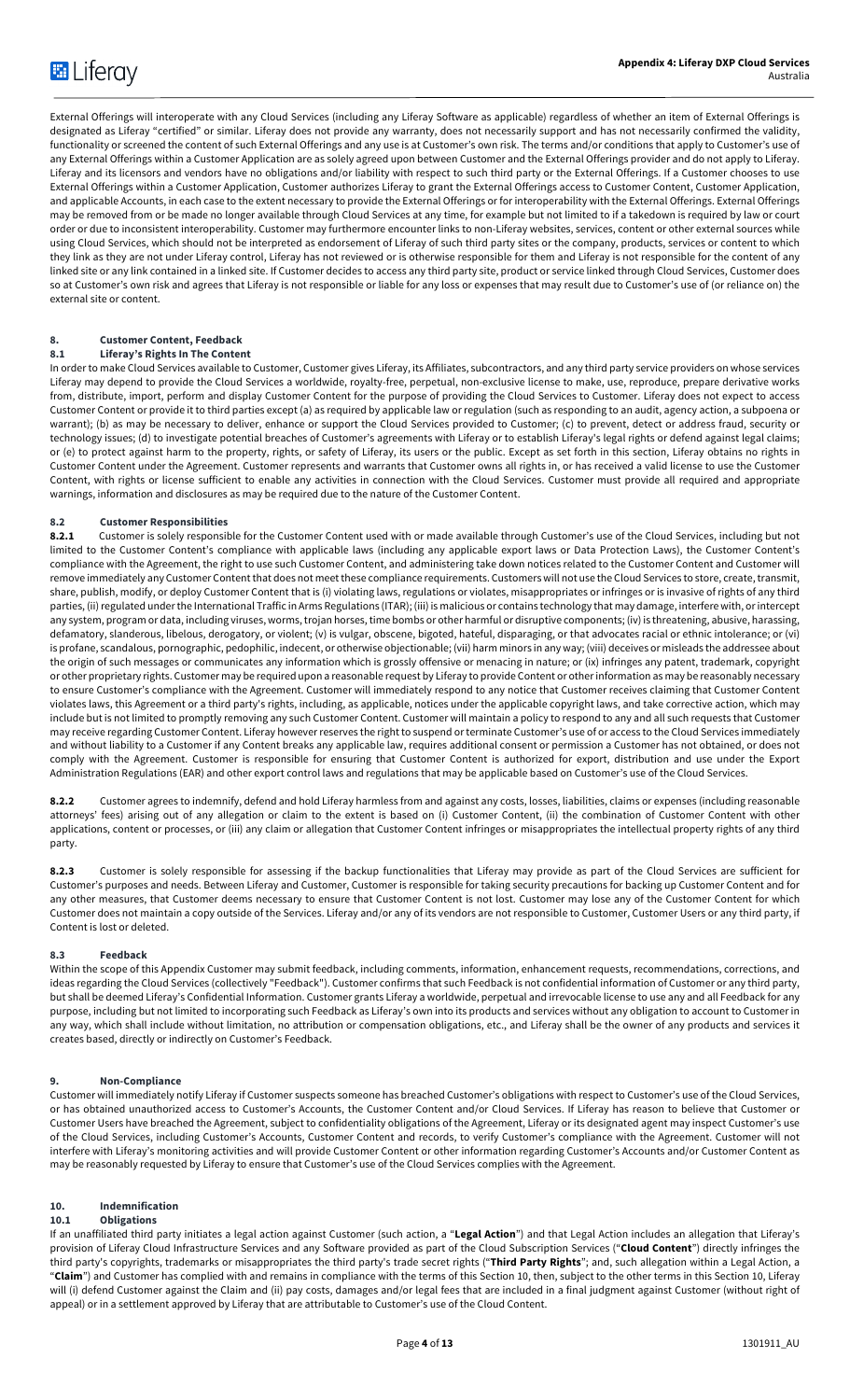External Offerings will interoperate with any Cloud Services (including any Liferay Software as applicable) regardless of whether an item of External Offerings is designated as Liferay "certified" or similar. Liferay does not provide any warranty, does not necessarily support and has not necessarily confirmed the validity, functionality or screened the content of such External Offerings and any use is at Customer's own risk. The terms and/or conditions that apply to Customer's use of any External Offerings within a Customer Application are as solely agreed upon between Customer and the External Offerings provider and do not apply to Liferay. Liferay and its licensors and vendors have no obligations and/or liability with respect to such third party or the External Offerings. If a Customer chooses to use External Offerings within a Customer Application, Customer authorizes Liferay to grant the External Offerings access to Customer Content, Customer Application, and applicable Accounts, in each case to the extent necessary to provide the External Offerings or for interoperability with the External Offerings. External Offerings may be removed from or be made no longer available through Cloud Services at any time, for example but not limited to if a takedown is required by law or court order or due to inconsistent interoperability. Customer may furthermore encounter links to non-Liferay websites, services, content or other external sources while using Cloud Services, which should not be interpreted as endorsement of Liferay of such third party sites or the company, products, services or content to which they link as they are not under Liferay control, Liferay has not reviewed or is otherwise responsible for them and Liferay is not responsible for the content of any linked site or any link contained in a linked site. If Customer decides to access any third party site, product or service linked through Cloud Services, Customer does so at Customer's own risk and agrees that Liferay is not responsible or liable for any loss or expenses that may result due to Customer's use of (or reliance on) the external site or content.

# **8. Customer Content, Feedback**

# **8.1 Liferay's Rights In The Content**

In order to make Cloud Services available to Customer, Customer gives Liferay, its Affiliates, subcontractors, and any third party service providers on whose services Liferay may depend to provide the Cloud Services a worldwide, royalty-free, perpetual, non-exclusive license to make, use, reproduce, prepare derivative works from, distribute, import, perform and display Customer Content for the purpose of providing the Cloud Services to Customer. Liferay does not expect to access Customer Content or provide it to third parties except (a) as required by applicable law or regulation (such as responding to an audit, agency action, a subpoena or warrant); (b) as may be necessary to deliver, enhance or support the Cloud Services provided to Customer; (c) to prevent, detect or address fraud, security or technology issues; (d) to investigate potential breaches of Customer's agreements with Liferay or to establish Liferay's legal rights or defend against legal claims; or (e) to protect against harm to the property, rights, or safety of Liferay, its users or the public. Except as set forth in this section, Liferay obtains no rights in Customer Content under the Agreement. Customer represents and warrants that Customer owns all rights in, or has received a valid license to use the Customer Content, with rights or license sufficient to enable any activities in connection with the Cloud Services. Customer must provide all required and appropriate warnings, information and disclosures as may be required due to the nature of the Customer Content.

#### **8.2 Customer Responsibilities**

**8.2.1** Customer is solely responsible for the Customer Content used with or made available through Customer's use of the Cloud Services, including but not limited to the Customer Content's compliance with applicable laws (including any applicable export laws or Data Protection Laws), the Customer Content's compliance with the Agreement, the right to use such Customer Content, and administering take down notices related to the Customer Content and Customer will remove immediately any Customer Content that does not meet these compliance requirements. Customers will not use the Cloud Services to store, create, transmit, share, publish, modify, or deploy Customer Content that is (i) violating laws, regulations or violates, misappropriates or infringes or is invasive of rights of any third parties, (ii) regulated under the International Traffic in Arms Regulations (ITAR); (iii) is malicious or contains technology that may damage, interfere with, or intercept any system, program or data, including viruses, worms, trojan horses, time bombs or other harmful or disruptive components; (iv) is threatening, abusive, harassing, defamatory, slanderous, libelous, derogatory, or violent; (v) is vulgar, obscene, bigoted, hateful, disparaging, or that advocates racial or ethnic intolerance; or (vi) is profane, scandalous, pornographic, pedophilic, indecent, or otherwise objectionable; (vii) harm minors in any way; (viii) deceives or misleads the addressee about the origin of such messages or communicates any information which is grossly offensive or menacing in nature; or (ix) infringes any patent, trademark, copyright or other proprietary rights. Customer may be required upon a reasonable request by Liferay to provide Content or other information as may be reasonably necessary to ensure Customer's compliance with the Agreement. Customer will immediately respond to any notice that Customer receives claiming that Customer Content violates laws, this Agreement or a third party's rights, including, as applicable, notices under the applicable copyright laws, and take corrective action, which may include but is not limited to promptly removing any such Customer Content. Customer will maintain a policy to respond to any and all such requests that Customer may receive regarding Customer Content. Liferay however reserves the right to suspend or terminate Customer's use of or access to the Cloud Services immediately and without liability to a Customer if any Content breaks any applicable law, requires additional consent or permission a Customer has not obtained, or does not comply with the Agreement. Customer is responsible for ensuring that Customer Content is authorized for export, distribution and use under the Export Administration Regulations (EAR) and other export control laws and regulations that may be applicable based on Customer's use of the Cloud Services.

**8.2.2** Customer agrees to indemnify, defend and hold Liferay harmless from and against any costs, losses, liabilities, claims or expenses (including reasonable attorneys' fees) arising out of any allegation or claim to the extent is based on (i) Customer Content, (ii) the combination of Customer Content with other applications, content or processes, or (iii) any claim or allegation that Customer Content infringes or misappropriates the intellectual property rights of any third party.

**8.2.3** Customer is solely responsible for assessing if the backup functionalities that Liferay may provide as part of the Cloud Services are sufficient for Customer's purposes and needs. Between Liferay and Customer, Customer is responsible for taking security precautions for backing up Customer Content and for any other measures, that Customer deems necessary to ensure that Customer Content is not lost. Customer may lose any of the Customer Content for which Customer does not maintain a copy outside of the Services. Liferay and/or any of its vendors are not responsible to Customer, Customer Users or any third party, if Content is lost or deleted.

### **8.3 Feedback**

Within the scope of this Appendix Customer may submit feedback, including comments, information, enhancement requests, recommendations, corrections, and ideas regarding the Cloud Services (collectively "Feedback"). Customer confirms that such Feedback is not confidential information of Customer or any third party, but shall be deemed Liferay's Confidential Information. Customer grants Liferay a worldwide, perpetual and irrevocable license to use any and all Feedback for any purpose, including but not limited to incorporating such Feedback as Liferay's own into its products and services without any obligation to account to Customer in any way, which shall include without limitation, no attribution or compensation obligations, etc., and Liferay shall be the owner of any products and services it creates based, directly or indirectly on Customer's Feedback.

#### **9. Non-Compliance**

Customer will immediately notify Liferay if Customer suspects someone has breached Customer's obligations with respect to Customer's use of the Cloud Services, or has obtained unauthorized access to Customer's Accounts, the Customer Content and/or Cloud Services. If Liferay has reason to believe that Customer or Customer Users have breached the Agreement, subject to confidentiality obligations of the Agreement, Liferay or its designated agent may inspect Customer's use of the Cloud Services, including Customer's Accounts, Customer Content and records, to verify Customer's compliance with the Agreement. Customer will not interfere with Liferay's monitoring activities and will provide Customer Content or other information regarding Customer's Accounts and/or Customer Content as may be reasonably requested by Liferay to ensure that Customer's use of the Cloud Services complies with the Agreement.

# **10. Indemnification**

#### **10.1 Obligations**

If an unaffiliated third party initiates a legal action against Customer (such action, a "**Legal Action**") and that Legal Action includes an allegation that Liferay's provision of Liferay Cloud Infrastructure Services and any Software provided as part of the Cloud Subscription Services ("**Cloud Content**") directly infringes the third party's copyrights, trademarks or misappropriates the third party's trade secret rights ("**Third Party Rights**"; and, such allegation within a Legal Action, a "**Claim**") and Customer has complied with and remains in compliance with the terms of this Section 10, then, subject to the other terms in this Section 10, Liferay will (i) defend Customer against the Claim and (ii) pay costs, damages and/or legal fees that are included in a final judgment against Customer (without right of appeal) or in a settlement approved by Liferay that are attributable to Customer's use of the Cloud Content.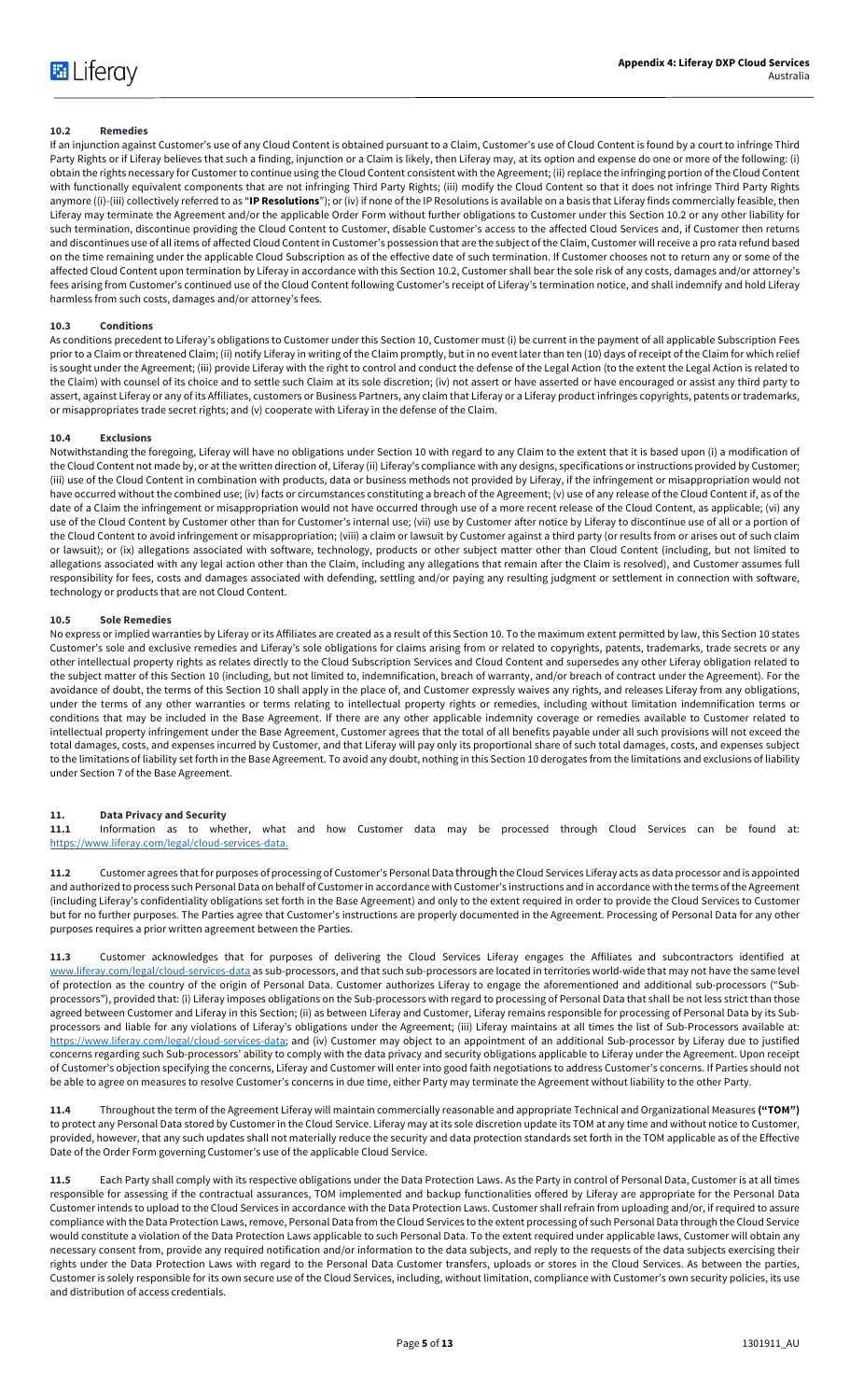# **10.2 Remedies**

If an injunction against Customer's use of any Cloud Content is obtained pursuant to a Claim, Customer's use of Cloud Content is found by a court to infringe Third Party Rights or if Liferay believes that such a finding, injunction or a Claim is likely, then Liferay may, at its option and expense do one or more of the following: (i) obtain the rights necessary for Customer to continue using the Cloud Content consistent with the Agreement; (ii) replace the infringing portion of the Cloud Content with functionally equivalent components that are not infringing Third Party Rights; (iii) modify the Cloud Content so that it does not infringe Third Party Rights anymore ((i)-(iii) collectively referred to as "**IP Resolutions**"); or (iv) if none of the IP Resolutions is available on a basis that Liferay finds commercially feasible, then Liferay may terminate the Agreement and/or the applicable Order Form without further obligations to Customer under this Section 10.2 or any other liability for such termination, discontinue providing the Cloud Content to Customer, disable Customer's access to the affected Cloud Services and, if Customer then returns and discontinues use of all items of affected Cloud Content in Customer's possession that are the subject of the Claim, Customer will receive a pro rata refund based on the time remaining under the applicable Cloud Subscription as of the effective date of such termination. If Customer chooses not to return any or some of the affected Cloud Content upon termination by Liferay in accordance with this Section 10.2, Customer shall bear the sole risk of any costs, damages and/or attorney's fees arising from Customer's continued use of the Cloud Content following Customer's receipt of Liferay's termination notice, and shall indemnify and hold Liferay harmless from such costs, damages and/or attorney's fees.

#### **10.3 Conditions**

As conditions precedent to Liferay's obligations to Customer under this Section 10, Customer must (i) be current in the payment of all applicable Subscription Fees prior to a Claim or threatened Claim; (ii) notify Liferay in writing of the Claim promptly, but in no event later than ten (10) days of receipt of the Claim for which relief is sought under the Agreement; (iii) provide Liferay with the right to control and conduct the defense of the Legal Action (to the extent the Legal Action is related to the Claim) with counsel of its choice and to settle such Claim at its sole discretion; (iv) not assert or have asserted or have encouraged or assist any third party to assert, against Liferay or any of its Affiliates, customers or Business Partners, any claim that Liferay or a Liferay product infringes copyrights, patents or trademarks, or misappropriates trade secret rights; and (v) cooperate with Liferay in the defense of the Claim.

#### **10.4 Exclusions**

Notwithstanding the foregoing, Liferay will have no obligations under Section 10 with regard to any Claim to the extent that it is based upon (i) a modification of the Cloud Content not made by, or at the written direction of, Liferay (ii) Liferay's compliance with any designs, specifications or instructions provided by Customer; (iii) use of the Cloud Content in combination with products, data or business methods not provided by Liferay, if the infringement or misappropriation would not have occurred without the combined use; (iv) facts or circumstances constituting a breach of the Agreement; (v) use of any release of the Cloud Content if, as of the date of a Claim the infringement or misappropriation would not have occurred through use of a more recent release of the Cloud Content, as applicable; (vi) any use of the Cloud Content by Customer other than for Customer's internal use; (vii) use by Customer after notice by Liferay to discontinue use of all or a portion of the Cloud Content to avoid infringement or misappropriation; (viii) a claim or lawsuit by Customer against a third party (or results from or arises out of such claim or lawsuit); or (ix) allegations associated with software, technology, products or other subject matter other than Cloud Content (including, but not limited to allegations associated with any legal action other than the Claim, including any allegations that remain after the Claim is resolved), and Customer assumes full responsibility for fees, costs and damages associated with defending, settling and/or paying any resulting judgment or settlement in connection with software, technology or products that are not Cloud Content.

#### **10.5 Sole Remedies**

No express or implied warranties by Liferay or its Affiliates are created as a result of this Section 10. To the maximum extent permitted by law, this Section 10 states Customer's sole and exclusive remedies and Liferay's sole obligations for claims arising from or related to copyrights, patents, trademarks, trade secrets or any other intellectual property rights as relates directly to the Cloud Subscription Services and Cloud Content and supersedes any other Liferay obligation related to the subject matter of this Section 10 (including, but not limited to, indemnification, breach of warranty, and/or breach of contract under the Agreement). For the avoidance of doubt, the terms of this Section 10 shall apply in the place of, and Customer expressly waives any rights, and releases Liferay from any obligations, under the terms of any other warranties or terms relating to intellectual property rights or remedies, including without limitation indemnification terms or conditions that may be included in the Base Agreement. If there are any other applicable indemnity coverage or remedies available to Customer related to intellectual property infringement under the Base Agreement, Customer agrees that the total of all benefits payable under all such provisions will not exceed the total damages, costs, and expenses incurred by Customer, and that Liferay will pay only its proportional share of such total damages, costs, and expenses subject to the limitations of liability set forth in the Base Agreement. To avoid any doubt, nothing in this Section 10 derogates from the limitations and exclusions of liability under Section 7 of the Base Agreement.

#### **11. Data Privacy and Security**

**11.1** Information as to whether, what and how Customer data may be processed through Cloud Services can be found at: https://www.liferay.com/legal/cloud-services-data.

**11.2** Customer agrees that for purposes of processing of Customer's Personal Data throughthe Cloud Services Liferay acts as data processor and is appointed and authorized to process such Personal Data on behalf of Customer in accordance with Customer's instructions and in accordance with the terms of the Agreement (including Liferay's confidentiality obligations set forth in the Base Agreement) and only to the extent required in order to provide the Cloud Services to Customer but for no further purposes. The Parties agree that Customer's instructions are properly documented in the Agreement. Processing of Personal Data for any other purposes requires a prior written agreement between the Parties.

**11.3** Customer acknowledges that for purposes of delivering the Cloud Services Liferay engages the Affiliates and subcontractors identified at www.liferay.com/legal/cloud-services-data as sub-processors, and that such sub-processors are located in territories world-wide that may not have the same level of protection as the country of the origin of Personal Data. Customer authorizes Liferay to engage the aforementioned and additional sub-processors ("Subprocessors"), provided that: (i) Liferay imposes obligations on the Sub-processors with regard to processing of Personal Data that shall be not less strict than those agreed between Customer and Liferay in this Section; (ii) as between Liferay and Customer, Liferay remains responsible for processing of Personal Data by its Subprocessors and liable for any violations of Liferay's obligations under the Agreement; (iii) Liferay maintains at all times the list of Sub-Processors available at: https://www.liferay.com/legal/cloud-services-data; and (iv) Customer may object to an appointment of an additional Sub-processor by Liferay due to justified concerns regarding such Sub-processors' ability to comply with the data privacy and security obligations applicable to Liferay under the Agreement. Upon receipt of Customer's objection specifying the concerns, Liferay and Customer will enter into good faith negotiations to address Customer's concerns. If Parties should not be able to agree on measures to resolve Customer's concerns in due time, either Party may terminate the Agreement without liability to the other Party.

**11.4** Throughout the term of the Agreement Liferay will maintain commercially reasonable and appropriate Technical and Organizational Measures **("TOM")**  to protect any Personal Data stored by Customer in the Cloud Service. Liferay may at its sole discretion update its TOM at any time and without notice to Customer, provided, however, that any such updates shall not materially reduce the security and data protection standards set forth in the TOM applicable as of the Effective Date of the Order Form governing Customer's use of the applicable Cloud Service.

**11.5** Each Party shall comply with its respective obligations under the Data Protection Laws. As the Party in control of Personal Data, Customer is at all times responsible for assessing if the contractual assurances, TOM implemented and backup functionalities offered by Liferay are appropriate for the Personal Data Customer intends to upload to the Cloud Services in accordance with the Data Protection Laws. Customer shall refrain from uploading and/or, if required to assure compliance with the Data Protection Laws, remove, Personal Data from the Cloud Services to the extent processing of such Personal Data through the Cloud Service would constitute a violation of the Data Protection Laws applicable to such Personal Data. To the extent required under applicable laws, Customer will obtain any necessary consent from, provide any required notification and/or information to the data subjects, and reply to the requests of the data subjects exercising their rights under the Data Protection Laws with regard to the Personal Data Customer transfers, uploads or stores in the Cloud Services. As between the parties, Customer is solely responsible for its own secure use of the Cloud Services, including, without limitation, compliance with Customer's own security policies, its use and distribution of access credentials.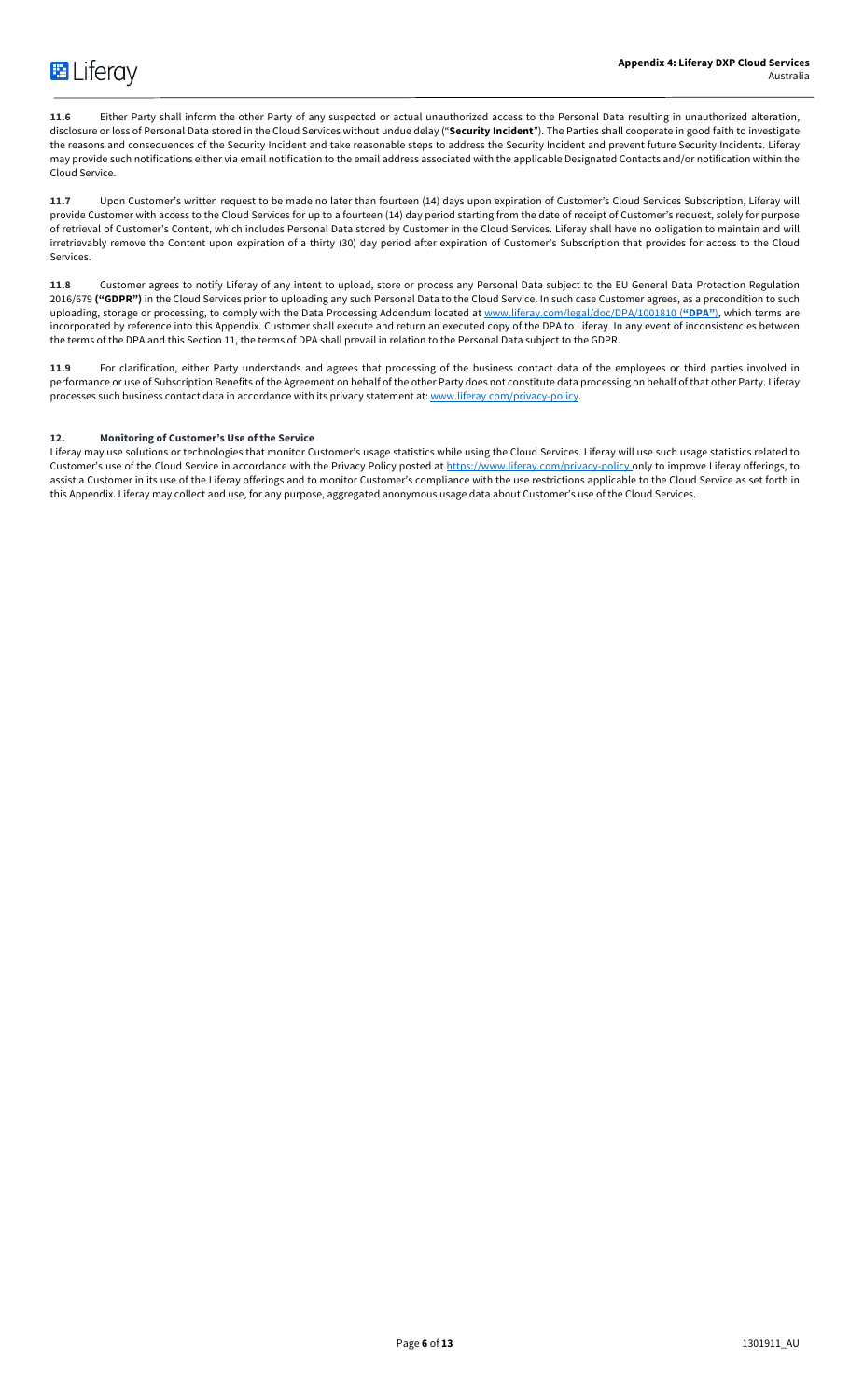**11.6** Either Party shall inform the other Party of any suspected or actual unauthorized access to the Personal Data resulting in unauthorized alteration, disclosure or loss of Personal Data stored in the Cloud Services without undue delay ("**Security Incident**"). The Parties shall cooperate in good faith to investigate the reasons and consequences of the Security Incident and take reasonable steps to address the Security Incident and prevent future Security Incidents. Liferay may provide such notifications either via email notification to the email address associated with the applicable Designated Contacts and/or notification within the Cloud Service.

**11.7** Upon Customer's written request to be made no later than fourteen (14) days upon expiration of Customer's Cloud Services Subscription, Liferay will provide Customer with access to the Cloud Services for up to a fourteen (14) day period starting from the date of receipt of Customer's request, solely for purpose of retrieval of Customer's Content, which includes Personal Data stored by Customer in the Cloud Services. Liferay shall have no obligation to maintain and will irretrievably remove the Content upon expiration of a thirty (30) day period after expiration of Customer's Subscription that provides for access to the Cloud Services.

**11.8** Customer agrees to notify Liferay of any intent to upload, store or process any Personal Data subject to the EU General Data Protection Regulation 2016/679 ("GDPR") in the Cloud Services prior to uploading any such Personal Data to the Cloud Service. In such case Customer agrees, as a precondition to such uploading, storage or processing, to comply with the Data Processing Addendum located at www.liferay.com/legal/doc/DPA/1001810 (**"DPA"**), which terms are incorporated by reference into this Appendix. Customer shall execute and return an executed copy of the DPA to Liferay. In any event of inconsistencies between the terms of the DPA and this Section 11, the terms of DPA shall prevail in relation to the Personal Data subject to the GDPR.

**11.9** For clarification, either Party understands and agrees that processing of the business contact data of the employees or third parties involved in performance or use of Subscription Benefits of the Agreement on behalf of the other Party does not constitute data processing on behalf of that other Party. Liferay processes such business contact data in accordance with its privacy statement at: www.liferay.com/privacy-policy.

# **12. Monitoring of Customer's Use of the Service**

Liferay may use solutions or technologies that monitor Customer's usage statistics while using the Cloud Services. Liferay will use such usage statistics related to Customer's use of the Cloud Service in accordance with the Privacy Policy posted at https://www.liferay.com/privacy-policy only to improve Liferay offerings, to assist a Customer in its use of the Liferay offerings and to monitor Customer's compliance with the use restrictions applicable to the Cloud Service as set forth in this Appendix. Liferay may collect and use, for any purpose, aggregated anonymous usage data about Customer's use of the Cloud Services.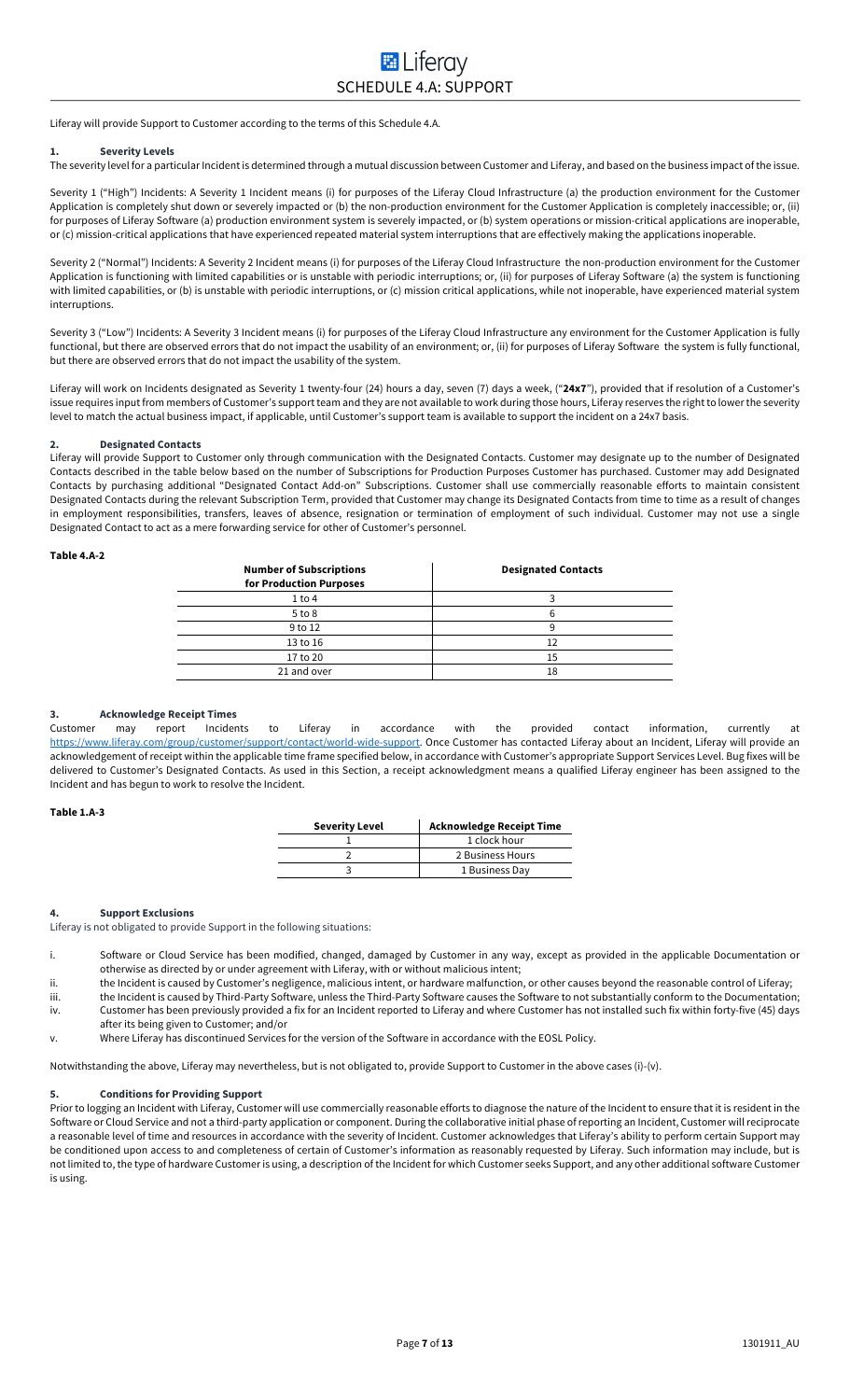Liferay will provide Support to Customer according to the terms of this Schedule 4.A.

#### **1. Severity Levels**

The severity level for a particular Incident is determined through a mutual discussion between Customer and Liferay, and based on the business impact of the issue.

Severity 1 ("High") Incidents: A Severity 1 Incident means (i) for purposes of the Liferay Cloud Infrastructure (a) the production environment for the Customer Application is completely shut down or severely impacted or (b) the non-production environment for the Customer Application is completely inaccessible; or, (ii) for purposes of Liferay Software (a) production environment system is severely impacted, or (b) system operations or mission-critical applications are inoperable, or (c) mission-critical applications that have experienced repeated material system interruptions that are effectively making the applications inoperable.

Severity 2 ("Normal") Incidents: A Severity 2 Incident means (i) for purposes of the Liferay Cloud Infrastructure the non-production environment for the Customer Application is functioning with limited capabilities or is unstable with periodic interruptions; or, (ii) for purposes of Liferay Software (a) the system is functioning with limited capabilities, or (b) is unstable with periodic interruptions, or (c) mission critical applications, while not inoperable, have experienced material system interruptions.

Severity 3 ("Low") Incidents: A Severity 3 Incident means (i) for purposes of the Liferay Cloud Infrastructure any environment for the Customer Application is fully functional, but there are observed errors that do not impact the usability of an environment; or, (ii) for purposes of Liferay Software the system is fully functional, but there are observed errors that do not impact the usability of the system.

Liferay will work on Incidents designated as Severity 1 twenty-four (24) hours a day, seven (7) days a week, ("**24x7**"), provided that if resolution of a Customer's issue requires input from members of Customer's support team and they are not available to work during those hours, Liferay reserves the right to lower the severity level to match the actual business impact, if applicable, until Customer's support team is available to support the incident on a 24x7 basis.

#### **2. Designated Contacts**

Liferay will provide Support to Customer only through communication with the Designated Contacts. Customer may designate up to the number of Designated Contacts described in the table below based on the number of Subscriptions for Production Purposes Customer has purchased. Customer may add Designated Contacts by purchasing additional "Designated Contact Add-on" Subscriptions. Customer shall use commercially reasonable efforts to maintain consistent Designated Contacts during the relevant Subscription Term, provided that Customer may change its Designated Contacts from time to time as a result of changes in employment responsibilities, transfers, leaves of absence, resignation or termination of employment of such individual. Customer may not use a single Designated Contact to act as a mere forwarding service for other of Customer's personnel.

#### **Table 4.A-2**

| <b>Number of Subscriptions</b><br>for Production Purposes | <b>Designated Contacts</b> |
|-----------------------------------------------------------|----------------------------|
| 1 to 4                                                    |                            |
| $5$ to $8$                                                |                            |
| 9 to 12                                                   |                            |
| 13 to 16                                                  | 12                         |
| 17 to 20                                                  | 15                         |
| 21 and over                                               | 18                         |
|                                                           |                            |

# **3. Acknowledge Receipt Times**

Customer may report Incidents to Liferay in accordance with the provided contact information, currently at https://www.liferay.com/group/customer/support/contact/world-wide-support. Once Customer has contacted Liferay about an Incident, Liferay will provide an acknowledgement of receipt within the applicable time frame specified below, in accordance with Customer's appropriate Support Services Level. Bug fixes will be delivered to Customer's Designated Contacts. As used in this Section, a receipt acknowledgment means a qualified Liferay engineer has been assigned to the Incident and has begun to work to resolve the Incident.

### **Table 1.A-3**

| <b>Severity Level</b> | <b>Acknowledge Receipt Time</b> |
|-----------------------|---------------------------------|
|                       | 1 clock hour                    |
|                       | 2 Business Hours                |
|                       | 1 Business Day                  |

### **4. Support Exclusions**

Liferay is not obligated to provide Support in the following situations:

- i. Software or Cloud Service has been modified, changed, damaged by Customer in any way, except as provided in the applicable Documentation or otherwise as directed by or under agreement with Liferay, with or without malicious intent;
- ii. the Incident is caused by Customer's negligence, malicious intent, or hardware malfunction, or other causes beyond the reasonable control of Liferay;
- iii. the Incident is caused by Third-Party Software, unless the Third-Party Software causes the Software to not substantially conform to the Documentation; iv. Customer has been previously provided a fix for an Incident reported to Liferay and where Customer has not installed such fix within forty-five (45) days
- after its being given to Customer; and/or

v. Where Liferay has discontinued Services for the version of the Software in accordance with the EOSL Policy.

Notwithstanding the above, Liferay may nevertheless, but is not obligated to, provide Support to Customer in the above cases (i)-(v).

# **5. Conditions for Providing Support**

Prior to logging an Incident with Liferay, Customer will use commercially reasonable efforts to diagnose the nature of the Incident to ensure that it is resident in the Software or Cloud Service and not a third-party application or component. During the collaborative initial phase of reporting an Incident, Customer will reciprocate a reasonable level of time and resources in accordance with the severity of Incident. Customer acknowledges that Liferay's ability to perform certain Support may be conditioned upon access to and completeness of certain of Customer's information as reasonably requested by Liferay. Such information may include, but is not limited to, the type of hardware Customer is using, a description of the Incident for which Customer seeks Support, and any other additional software Customer is using.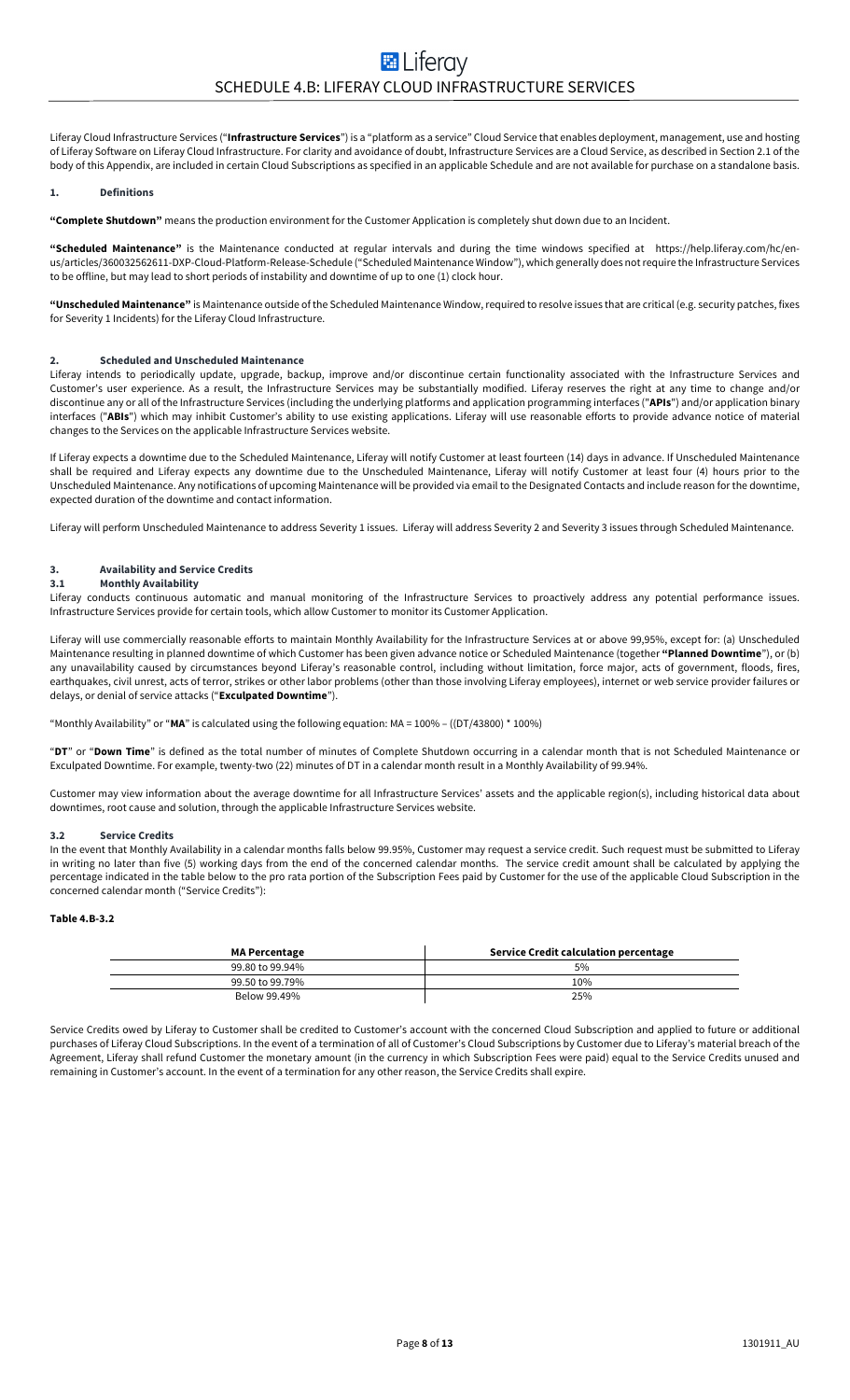Liferay Cloud Infrastructure Services ("**Infrastructure Services**") is a "platform as a service" Cloud Service that enables deployment, management, use and hosting of Liferay Software on Liferay Cloud Infrastructure. For clarity and avoidance of doubt, Infrastructure Services are a Cloud Service, as described in Section 2.1 of the body of this Appendix, are included in certain Cloud Subscriptions as specified in an applicable Schedule and are not available for purchase on a standalone basis.

#### **1. Definitions**

**"Complete Shutdown"** means the production environment for the Customer Application is completely shut down due to an Incident.

**"Scheduled Maintenance"** is the Maintenance conducted at regular intervals and during the time windows specified at https://help.liferay.com/hc/enus/articles/360032562611-DXP-Cloud-Platform-Release-Schedule ("Scheduled Maintenance Window"), which generally does not require the Infrastructure Services to be offline, but may lead to short periods of instability and downtime of up to one (1) clock hour.

**"Unscheduled Maintenance"** is Maintenance outside of the Scheduled Maintenance Window, required to resolve issues that are critical (e.g. security patches, fixes for Severity 1 Incidents) for the Liferay Cloud Infrastructure.

#### **2. Scheduled and Unscheduled Maintenance**

Liferay intends to periodically update, upgrade, backup, improve and/or discontinue certain functionality associated with the Infrastructure Services and Customer's user experience. As a result, the Infrastructure Services may be substantially modified. Liferay reserves the right at any time to change and/or discontinue any or all of the Infrastructure Services (including the underlying platforms and application programming interfaces ("**APIs**") and/or application binary interfaces ("**ABIs**") which may inhibit Customer's ability to use existing applications. Liferay will use reasonable efforts to provide advance notice of material changes to the Services on the applicable Infrastructure Services website.

If Liferay expects a downtime due to the Scheduled Maintenance, Liferay will notify Customer at least fourteen (14) days in advance. If Unscheduled Maintenance shall be required and Liferay expects any downtime due to the Unscheduled Maintenance, Liferay will notify Customer at least four (4) hours prior to the Unscheduled Maintenance. Any notifications of upcoming Maintenance will be provided via email to the Designated Contacts and include reason for the downtime, expected duration of the downtime and contact information.

Liferay will perform Unscheduled Maintenance to address Severity 1 issues. Liferay will address Severity 2 and Severity 3 issues through Scheduled Maintenance.

# **3. Availability and Service Credits**

# **3.1 Monthly Availability**

Liferay conducts continuous automatic and manual monitoring of the Infrastructure Services to proactively address any potential performance issues. Infrastructure Services provide for certain tools, which allow Customer to monitor its Customer Application.

Liferay will use commercially reasonable efforts to maintain Monthly Availability for the Infrastructure Services at or above 99,95%, except for: (a) Unscheduled Maintenance resulting in planned downtime of which Customer has been given advance notice or Scheduled Maintenance (together **"Planned Downtime**"), or (b) any unavailability caused by circumstances beyond Liferay's reasonable control, including without limitation, force major, acts of government, floods, fires, earthquakes, civil unrest, acts of terror, strikes or other labor problems (other than those involving Liferay employees), internet or web service provider failures or delays, or denial of service attacks ("**Exculpated Downtime**").

"Monthly Availability" or "**MA**" is calculated using the following equation: MA = 100% – ((DT/43800) \* 100%)

"**DT**" or "**Down Time**" is defined as the total number of minutes of Complete Shutdown occurring in a calendar month that is not Scheduled Maintenance or Exculpated Downtime. For example, twenty-two (22) minutes of DT in a calendar month result in a Monthly Availability of 99.94%.

Customer may view information about the average downtime for all Infrastructure Services' assets and the applicable region(s), including historical data about downtimes, root cause and solution, through the applicable Infrastructure Services website.

#### **3.2 Service Credits**

In the event that Monthly Availability in a calendar months falls below 99.95%, Customer may request a service credit. Such request must be submitted to Liferay in writing no later than five (5) working days from the end of the concerned calendar months. The service credit amount shall be calculated by applying the percentage indicated in the table below to the pro rata portion of the Subscription Fees paid by Customer for the use of the applicable Cloud Subscription in the concerned calendar month ("Service Credits"):

### **Table 4.B-3.2**

| <b>MA Percentage</b> | Service Credit calculation percentage |
|----------------------|---------------------------------------|
| 99.80 to 99.94%      | 5%                                    |
| 99.50 to 99.79%      | 10%                                   |
| Below 99.49%         | 25%                                   |

Service Credits owed by Liferay to Customer shall be credited to Customer's account with the concerned Cloud Subscription and applied to future or additional purchases of Liferay Cloud Subscriptions. In the event of a termination of all of Customer's Cloud Subscriptions by Customer due to Liferay's material breach of the Agreement, Liferay shall refund Customer the monetary amount (in the currency in which Subscription Fees were paid) equal to the Service Credits unused and remaining in Customer's account. In the event of a termination for any other reason, the Service Credits shall expire.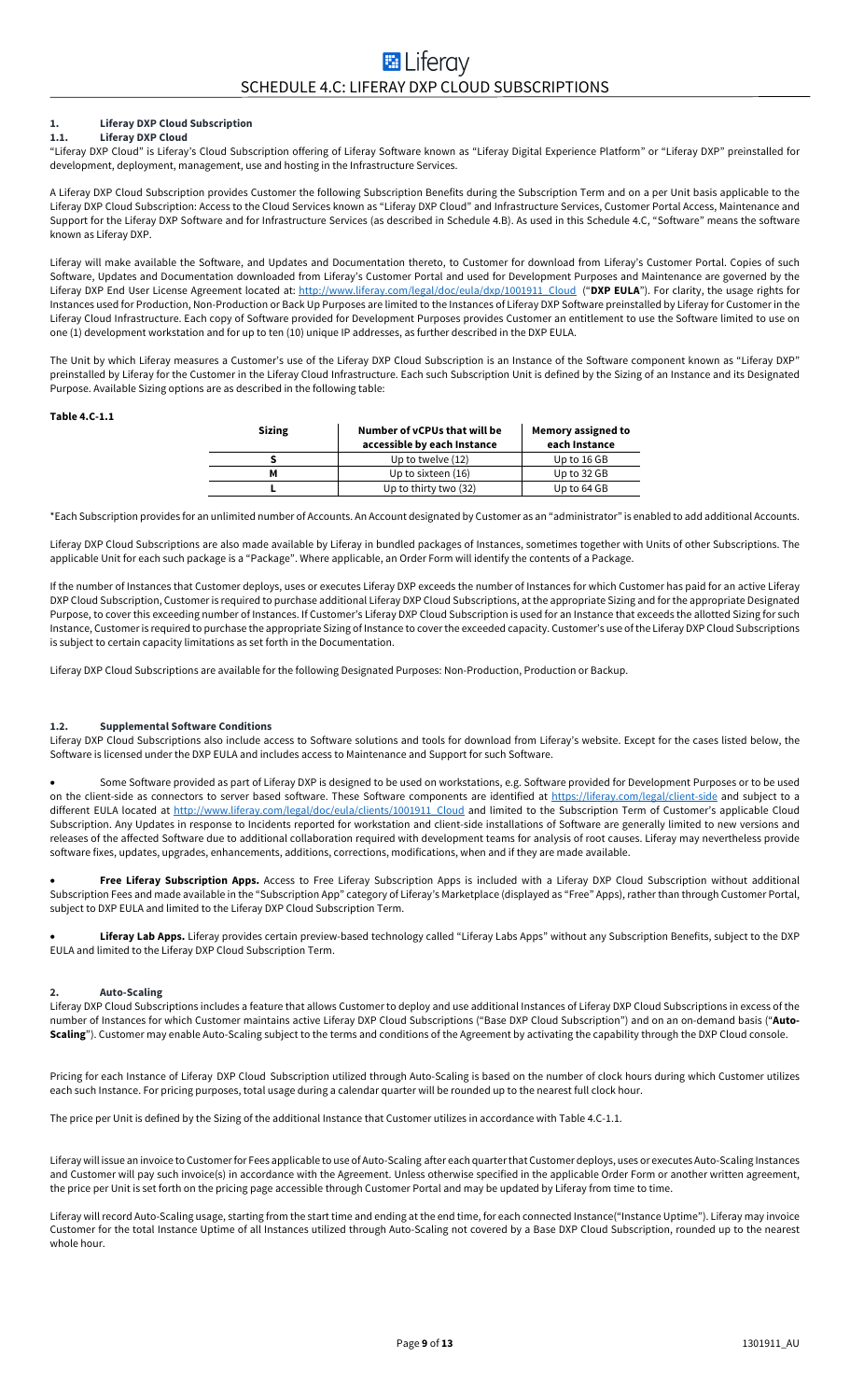#### **1. Liferay DXP Cloud Subscription 1.1. Liferay DXP Cloud**

"Liferay DXP Cloud" is Liferay's Cloud Subscription offering of Liferay Software known as "Liferay Digital Experience Platform" or "Liferay DXP" preinstalled for development, deployment, management, use and hosting in the Infrastructure Services.

A Liferay DXP Cloud Subscription provides Customer the following Subscription Benefits during the Subscription Term and on a per Unit basis applicable to the Liferay DXP Cloud Subscription: Access to the Cloud Services known as "Liferay DXP Cloud" and Infrastructure Services, Customer Portal Access, Maintenance and Support for the Liferay DXP Software and for Infrastructure Services (as described in Schedule 4.B). As used in this Schedule 4.C, "Software" means the software known as Liferay DXP.

Liferay will make available the Software, and Updates and Documentation thereto, to Customer for download from Liferay's Customer Portal. Copies of such Software, Updates and Documentation downloaded from Liferay's Customer Portal and used for Development Purposes and Maintenance are governed by the Liferay DXP End User License Agreement located at: http://www.liferay.com/legal/doc/eula/dxp/1001911\_Cloud ("**DXP EULA**"). For clarity, the usage rights for Instances used for Production, Non-Production or Back Up Purposes are limited to the Instances of Liferay DXP Software preinstalled by Liferay for Customer in the Liferay Cloud Infrastructure. Each copy of Software provided for Development Purposes provides Customer an entitlement to use the Software limited to use on one (1) development workstation and for up to ten (10) unique IP addresses, as further described in the DXP EULA.

The Unit by which Liferay measures a Customer's use of the Liferay DXP Cloud Subscription is an Instance of the Software component known as "Liferay DXP" preinstalled by Liferay for the Customer in the Liferay Cloud Infrastructure. Each such Subscription Unit is defined by the Sizing of an Instance and its Designated Purpose. Available Sizing options are as described in the following table:

#### **Table 4.C-1.1**

| <b>Sizing</b> | Number of vCPUs that will be<br>accessible by each Instance | Memory assigned to<br>each Instance |
|---------------|-------------------------------------------------------------|-------------------------------------|
|               | Up to twelve (12)                                           | Up to 16 GB                         |
|               | Up to sixteen (16)                                          | Up to 32 GB                         |
|               | Up to thirty two (32)                                       | Up to 64 GB                         |

\*Each Subscription provides for an unlimited number of Accounts. An Account designated by Customer as an "administrator" is enabled to add additional Accounts.

Liferay DXP Cloud Subscriptions are also made available by Liferay in bundled packages of Instances, sometimes together with Units of other Subscriptions. The applicable Unit for each such package is a "Package". Where applicable, an Order Form will identify the contents of a Package.

If the number of Instances that Customer deploys, uses or executes Liferay DXP exceeds the number of Instances for which Customer has paid for an active Liferay DXP Cloud Subscription, Customer is required to purchase additional Liferay DXP Cloud Subscriptions, at the appropriate Sizing and for the appropriate Designated Purpose, to cover this exceeding number of Instances. If Customer's Liferay DXP Cloud Subscription is used for an Instance that exceeds the allotted Sizing for such Instance, Customer is required to purchase the appropriate Sizing of Instance to cover the exceeded capacity. Customer's use of the Liferay DXP Cloud Subscriptions is subject to certain capacity limitations as set forth in the Documentation.

Liferay DXP Cloud Subscriptions are available for the following Designated Purposes: Non-Production, Production or Backup.

# **1.2. Supplemental Software Conditions**

Liferay DXP Cloud Subscriptions also include access to Software solutions and tools for download from Liferay's website. Except for the cases listed below, the Software is licensed under the DXP EULA and includes access to Maintenance and Support for such Software.

• Some Software provided as part of Liferay DXP is designed to be used on workstations, e.g. Software provided for Development Purposes or to be used on the client-side as connectors to server based software. These Software components are identified at https://liferay.com/legal/client-side and subject to a different EULA located at http://www.liferay.com/legal/doc/eula/clients/1001911\_Cloud and limited to the Subscription Term of Customer's applicable Cloud Subscription. Any Updates in response to Incidents reported for workstation and client-side installations of Software are generally limited to new versions and releases of the affected Software due to additional collaboration required with development teams for analysis of root causes. Liferay may nevertheless provide software fixes, updates, upgrades, enhancements, additions, corrections, modifications, when and if they are made available.

• **Free Liferay Subscription Apps.** Access to Free Liferay Subscription Apps is included with a Liferay DXP Cloud Subscription without additional Subscription Fees and made available in the "Subscription App" category of Liferay's Marketplace (displayed as "Free" Apps), rather than through Customer Portal, subject to DXP EULA and limited to the Liferay DXP Cloud Subscription Term.

• **Liferay Lab Apps.** Liferay provides certain preview-based technology called "Liferay Labs Apps" without any Subscription Benefits, subject to the DXP EULA and limited to the Liferay DXP Cloud Subscription Term.

#### **2. Auto-Scaling**

Liferay DXP Cloud Subscriptions includes a feature that allows Customer to deploy and use additional Instances of Liferay DXP Cloud Subscriptions in excess of the number of Instances for which Customer maintains active Liferay DXP Cloud Subscriptions ("Base DXP Cloud Subscription") and on an on-demand basis ("**Auto-Scaling**"). Customer may enable Auto-Scaling subject to the terms and conditions of the Agreement by activating the capability through the DXP Cloud console.

Pricing for each Instance of Liferay DXP Cloud Subscription utilized through Auto-Scaling is based on the number of clock hours during which Customer utilizes each such Instance. For pricing purposes, total usage during a calendar quarter will be rounded up to the nearest full clock hour.

The price per Unit is defined by the Sizing of the additional Instance that Customer utilizes in accordance with Table 4.C-1.1.

Liferay will issue an invoice to Customerfor Fees applicable to use of Auto-Scaling after each quarter that Customer deploys, uses or executes Auto-Scaling Instances and Customer will pay such invoice(s) in accordance with the Agreement. Unless otherwise specified in the applicable Order Form or another written agreement, the price per Unit is set forth on the pricing page accessible through Customer Portal and may be updated by Liferay from time to time.

Liferay will record Auto-Scaling usage, starting from the start time and ending at the end time, for each connected Instance("Instance Uptime"). Liferay may invoice Customer for the total Instance Uptime of all Instances utilized through Auto-Scaling not covered by a Base DXP Cloud Subscription, rounded up to the nearest whole hour.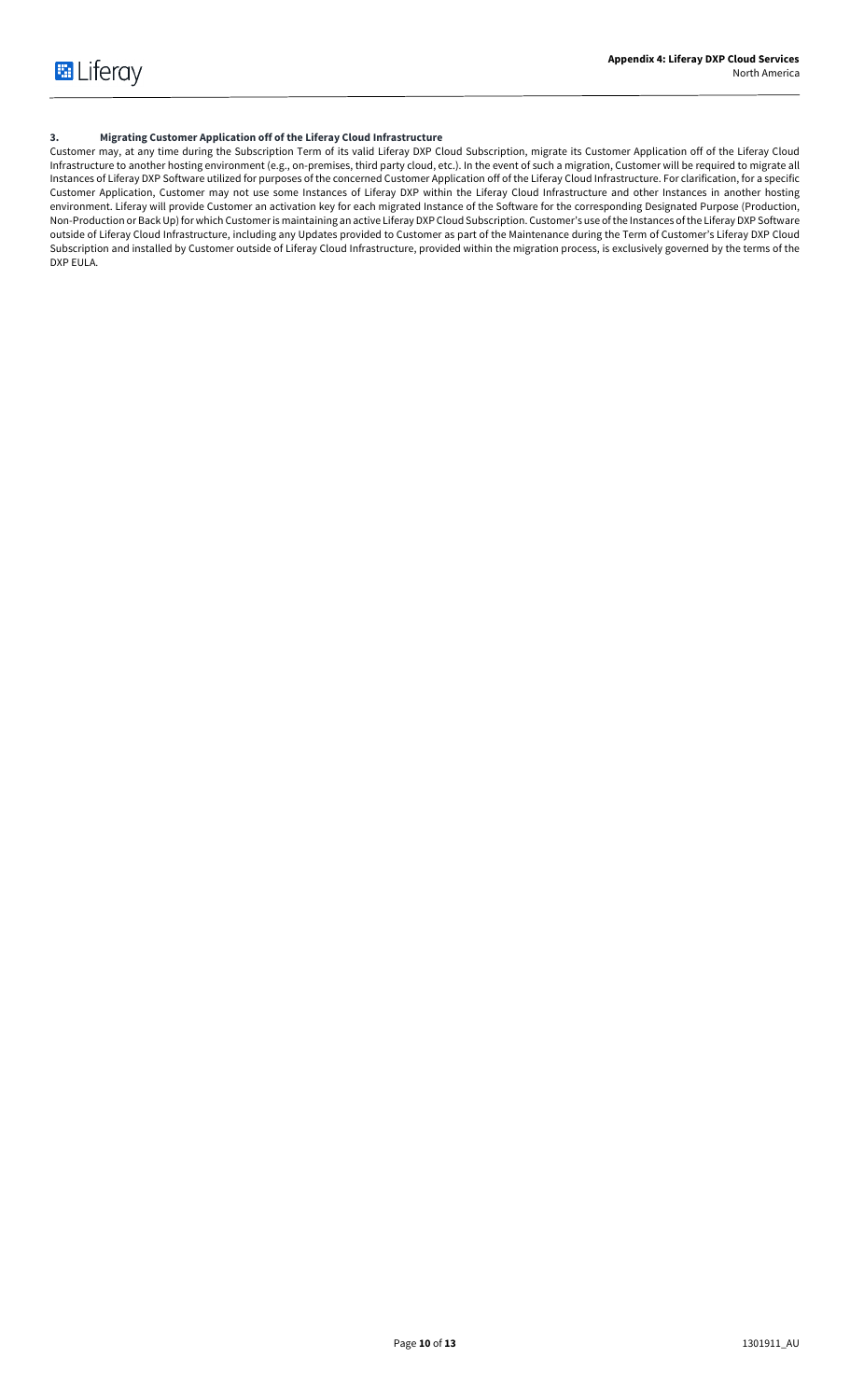# **3. Migrating Customer Application off of the Liferay Cloud Infrastructure**

Customer may, at any time during the Subscription Term of its valid Liferay DXP Cloud Subscription, migrate its Customer Application off of the Liferay Cloud Infrastructure to another hosting environment (e.g., on-premises, third party cloud, etc.). In the event of such a migration, Customer will be required to migrate all Instances of Liferay DXP Software utilized for purposes of the concerned Customer Application off of the Liferay Cloud Infrastructure. For clarification, for a specific Customer Application, Customer may not use some Instances of Liferay DXP within the Liferay Cloud Infrastructure and other Instances in another hosting environment. Liferay will provide Customer an activation key for each migrated Instance of the Software for the corresponding Designated Purpose (Production, Non-Production or Back Up) for which Customer is maintaining an active Liferay DXP Cloud Subscription. Customer's use of the Instances of the Liferay DXP Software outside of Liferay Cloud Infrastructure, including any Updates provided to Customer as part of the Maintenance during the Term of Customer's Liferay DXP Cloud Subscription and installed by Customer outside of Liferay Cloud Infrastructure, provided within the migration process, is exclusively governed by the terms of the DXP EULA.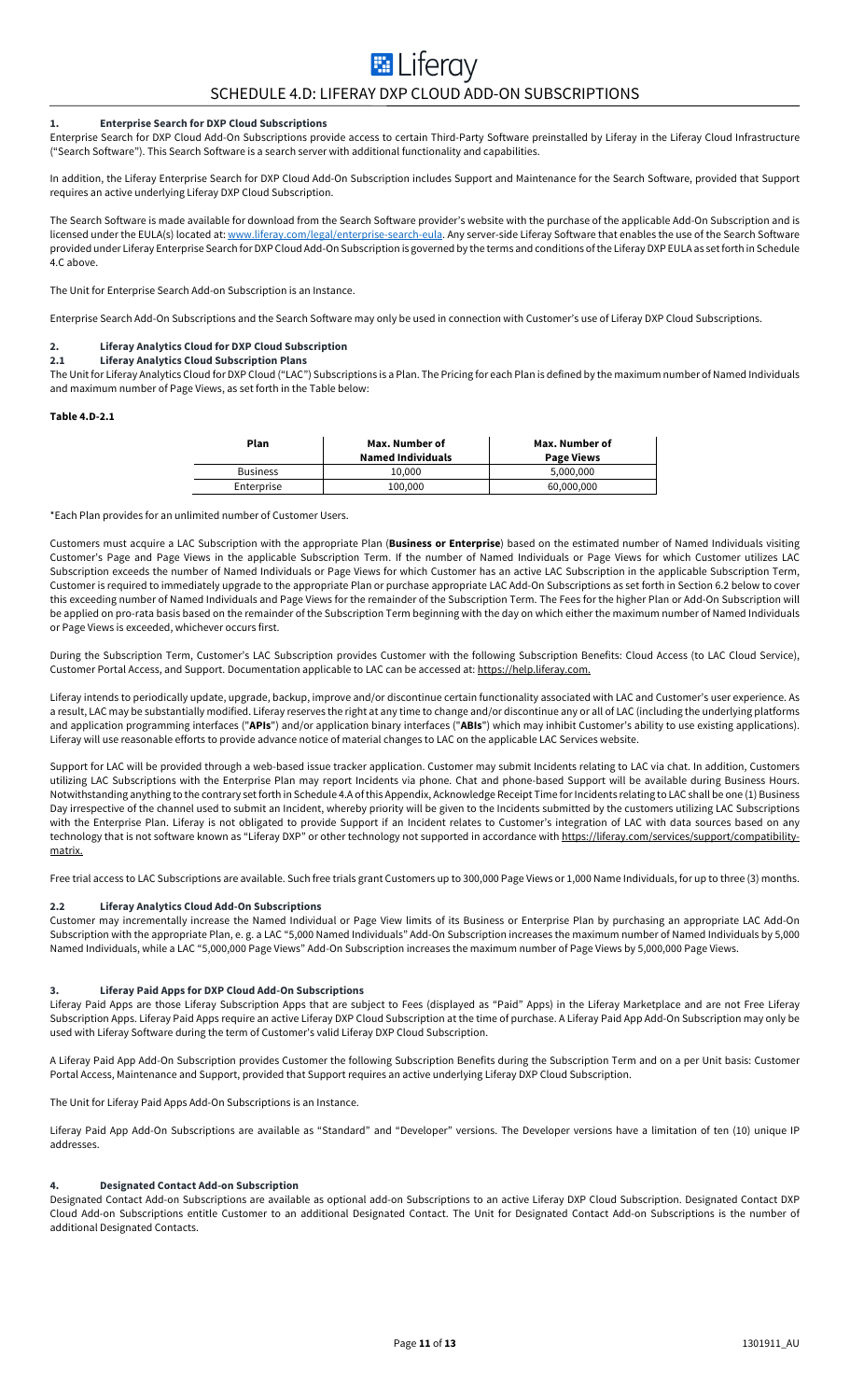# **E** Liferay SCHEDULE 4.D: LIFERAY DXP CLOUD ADD-ON SUBSCRIPTIONS

#### **1. Enterprise Search for DXP Cloud Subscriptions**

Enterprise Search for DXP Cloud Add-On Subscriptions provide access to certain Third-Party Software preinstalled by Liferay in the Liferay Cloud Infrastructure ("Search Software"). This Search Software is a search server with additional functionality and capabilities.

In addition, the Liferay Enterprise Search for DXP Cloud Add-On Subscription includes Support and Maintenance for the Search Software, provided that Support requires an active underlying Liferay DXP Cloud Subscription.

The Search Software is made available for download from the Search Software provider's website with the purchase of the applicable Add-On Subscription and is licensed under the EULA(s) located at: www.liferay.com/legal/enterprise-search-eula. Any server-side Liferay Software that enables the use of the Search Software provided under Liferay Enterprise Search for DXP Cloud Add-On Subscription is governed by the terms and conditions of the Liferay DXP EULA as set forth in Schedule 4.C above.

The Unit for Enterprise Search Add-on Subscription is an Instance.

Enterprise Search Add-On Subscriptions and the Search Software may only be used in connection with Customer's use of Liferay DXP Cloud Subscriptions.

#### **2. Liferay Analytics Cloud for DXP Cloud Subscription 2.1 Liferay Analytics Cloud Subscription Plans**

The Unit for Liferay Analytics Cloud for DXP Cloud ("LAC") Subscriptions is a Plan. The Pricing for each Plan is defined by the maximum number of Named Individuals and maximum number of Page Views, as set forth in the Table below:

#### **Table 4.D-2.1**

| Plan            | Max. Number of<br><b>Named Individuals</b> | Max. Number of<br><b>Page Views</b> |
|-----------------|--------------------------------------------|-------------------------------------|
| <b>Business</b> | 10.000                                     | 5.000.000                           |
| Enterprise      | 100.000                                    | 60,000,000                          |

\*Each Plan provides for an unlimited number of Customer Users.

Customers must acquire a LAC Subscription with the appropriate Plan (**Business or Enterprise**) based on the estimated number of Named Individuals visiting Customer's Page and Page Views in the applicable Subscription Term. If the number of Named Individuals or Page Views for which Customer utilizes LAC Subscription exceeds the number of Named Individuals or Page Views for which Customer has an active LAC Subscription in the applicable Subscription Term, Customer is required to immediately upgrade to the appropriate Plan or purchase appropriate LAC Add-On Subscriptions as set forth in Section 6.2 below to cover this exceeding number of Named Individuals and Page Views for the remainder of the Subscription Term. The Fees for the higher Plan or Add-On Subscription will be applied on pro-rata basis based on the remainder of the Subscription Term beginning with the day on which either the maximum number of Named Individuals or Page Views is exceeded, whichever occurs first.

During the Subscription Term, Customer's LAC Subscription provides Customer with the following Subscription Benefits: Cloud Access (to LAC Cloud Service), Customer Portal Access, and Support. Documentation applicable to LAC can be accessed at: https://help.liferay.com.

Liferay intends to periodically update, upgrade, backup, improve and/or discontinue certain functionality associated with LAC and Customer's user experience. As a result, LAC may be substantially modified. Liferay reserves the right at any time to change and/or discontinue any or all of LAC (including the underlying platforms and application programming interfaces ("**APIs**") and/or application binary interfaces ("**ABIs**") which may inhibit Customer's ability to use existing applications). Liferay will use reasonable efforts to provide advance notice of material changes to LAC on the applicable LAC Services website.

Support for LAC will be provided through a web-based issue tracker application. Customer may submit Incidents relating to LAC via chat. In addition, Customers utilizing LAC Subscriptions with the Enterprise Plan may report Incidents via phone. Chat and phone-based Support will be available during Business Hours. Notwithstanding anything to the contrary set forth in Schedule 4.A of this Appendix, Acknowledge Receipt Time for Incidents relating to LAC shall be one (1) Business Day irrespective of the channel used to submit an Incident, whereby priority will be given to the Incidents submitted by the customers utilizing LAC Subscriptions with the Enterprise Plan. Liferay is not obligated to provide Support if an Incident relates to Customer's integration of LAC with data sources based on any technology that is not software known as "Liferay DXP" or other technology not supported in accordance with <u>https://liferay.com/services/support/compatibility-</u> matrix.

Free trial access to LAC Subscriptions are available. Such free trials grant Customers up to 300,000 Page Views or 1,000 Name Individuals, for up to three (3) months.

#### **2.2 Liferay Analytics Cloud Add-On Subscriptions**

Customer may incrementally increase the Named Individual or Page View limits of its Business or Enterprise Plan by purchasing an appropriate LAC Add-On Subscription with the appropriate Plan, e. g. a LAC "5,000 Named Individuals" Add-On Subscription increases the maximum number of Named Individuals by 5,000 Named Individuals, while a LAC "5,000,000 Page Views" Add-On Subscription increases the maximum number of Page Views by 5,000,000 Page Views.

#### **3. Liferay Paid Apps for DXP Cloud Add-On Subscriptions**

Liferay Paid Apps are those Liferay Subscription Apps that are subject to Fees (displayed as "Paid" Apps) in the Liferay Marketplace and are not Free Liferay Subscription Apps. Liferay Paid Apps require an active Liferay DXP Cloud Subscription at the time of purchase. A Liferay Paid App Add-On Subscription may only be used with Liferay Software during the term of Customer's valid Liferay DXP Cloud Subscription.

A Liferay Paid App Add-On Subscription provides Customer the following Subscription Benefits during the Subscription Term and on a per Unit basis: Customer Portal Access, Maintenance and Support, provided that Support requires an active underlying Liferay DXP Cloud Subscription.

The Unit for Liferay Paid Apps Add-On Subscriptions is an Instance.

Liferay Paid App Add-On Subscriptions are available as "Standard" and "Developer" versions. The Developer versions have a limitation of ten (10) unique IP addresses.

#### **4. Designated Contact Add-on Subscription**

Designated Contact Add-on Subscriptions are available as optional add-on Subscriptions to an active Liferay DXP Cloud Subscription. Designated Contact DXP Cloud Add-on Subscriptions entitle Customer to an additional Designated Contact. The Unit for Designated Contact Add-on Subscriptions is the number of additional Designated Contacts.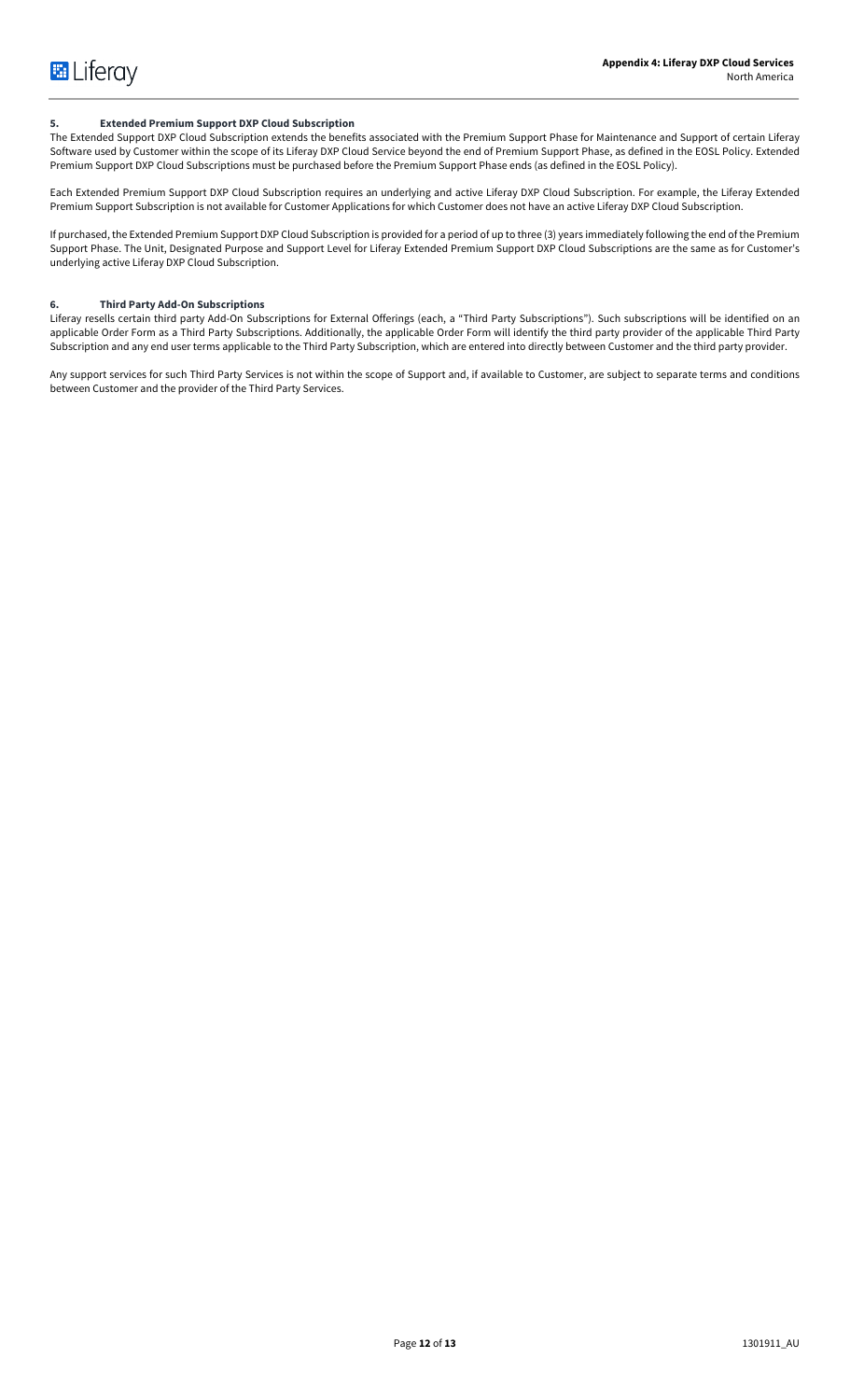### **5. Extended Premium Support DXP Cloud Subscription**

The Extended Support DXP Cloud Subscription extends the benefits associated with the Premium Support Phase for Maintenance and Support of certain Liferay Software used by Customer within the scope of its Liferay DXP Cloud Service beyond the end of Premium Support Phase, as defined in the EOSL Policy. Extended Premium Support DXP Cloud Subscriptions must be purchased before the Premium Support Phase ends (as defined in the EOSL Policy).

Each Extended Premium Support DXP Cloud Subscription requires an underlying and active Liferay DXP Cloud Subscription. For example, the Liferay Extended Premium Support Subscription is not available for Customer Applications for which Customer does not have an active Liferay DXP Cloud Subscription.

If purchased, the Extended Premium Support DXP Cloud Subscription is provided for a period of up to three (3) years immediately following the end of the Premium Support Phase. The Unit, Designated Purpose and Support Level for Liferay Extended Premium Support DXP Cloud Subscriptions are the same as for Customer's underlying active Liferay DXP Cloud Subscription.

# **6. Third Party Add-On Subscriptions**

Liferay resells certain third party Add-On Subscriptions for External Offerings (each, a "Third Party Subscriptions"). Such subscriptions will be identified on an applicable Order Form as a Third Party Subscriptions. Additionally, the applicable Order Form will identify the third party provider of the applicable Third Party Subscription and any end user terms applicable to the Third Party Subscription, which are entered into directly between Customer and the third party provider.

Any support services for such Third Party Services is not within the scope of Support and, if available to Customer, are subject to separate terms and conditions between Customer and the provider of the Third Party Services.